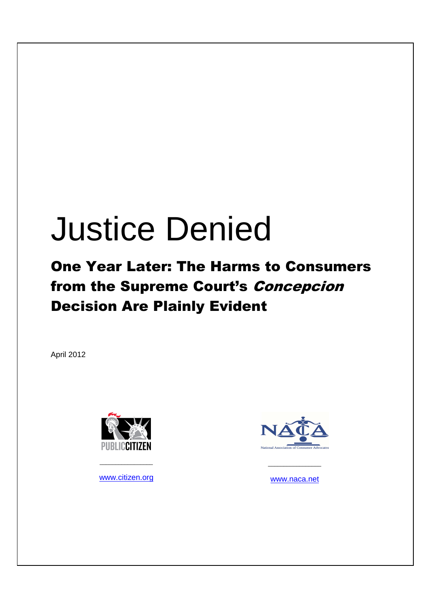# Justice Denied

## One Year Later: The Harms to Consumers from the Supreme Court's Concepcion Decision Are Plainly Evident

April 2012



www.citizen.org

 $\overline{\phantom{a}}$  , where  $\overline{\phantom{a}}$  , where  $\overline{\phantom{a}}$  ,  $\overline{\phantom{a}}$  ,  $\overline{\phantom{a}}$  ,  $\overline{\phantom{a}}$  ,  $\overline{\phantom{a}}$  ,  $\overline{\phantom{a}}$  ,  $\overline{\phantom{a}}$  ,  $\overline{\phantom{a}}$  ,  $\overline{\phantom{a}}$  ,  $\overline{\phantom{a}}$  ,  $\overline{\phantom{a}}$  ,  $\overline{\phantom{a}}$  ,  $\overline{\phantom{a}}$  ,



www.naca.net

 $\frac{1}{2}$  ,  $\frac{1}{2}$  ,  $\frac{1}{2}$  ,  $\frac{1}{2}$  ,  $\frac{1}{2}$  ,  $\frac{1}{2}$  ,  $\frac{1}{2}$  ,  $\frac{1}{2}$  ,  $\frac{1}{2}$  ,  $\frac{1}{2}$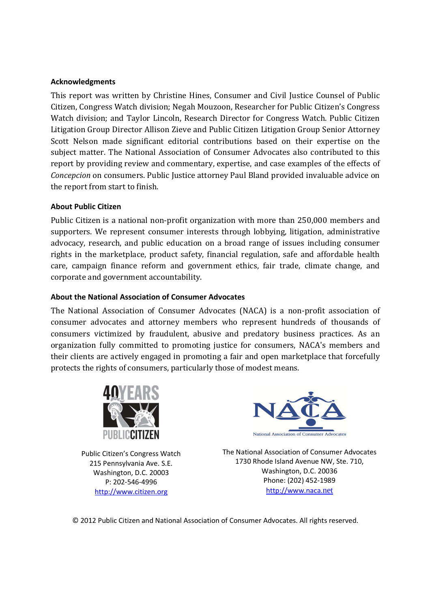#### **Acknowledgments**

This report was written by Christine Hines, Consumer and Civil Justice Counsel of Public Citizen, Congress Watch division; Negah Mouzoon, Researcher for Public Citizen's Congress Watch division; and Taylor Lincoln, Research Director for Congress Watch. Public Citizen Litigation Group Director Allison Zieve and Public Citizen Litigation Group Senior Attorney Scott Nelson made significant editorial contributions based on their expertise on the subject matter. The National Association of Consumer Advocates also contributed to this report by providing review and commentary, expertise, and case examples of the effects of *Concepcion* on consumers. Public Justice attorney Paul Bland provided invaluable advice on the report from start to finish.

### **About Public Citizen**

Public Citizen is a national non-profit organization with more than 250,000 members and supporters. We represent consumer interests through lobbying, litigation, administrative advocacy, research, and public education on a broad range of issues including consumer rights in the marketplace, product safety, financial regulation, safe and affordable health care, campaign finance reform and government ethics, fair trade, climate change, and corporate and government accountability.

### **About the National Association of Consumer Advocates**

The National Association of Consumer Advocates (NACA) is a non-profit association of consumer advocates and attorney members who represent hundreds of thousands of consumers victimized by fraudulent, abusive and predatory business practices. As an organization fully committed to promoting justice for consumers, NACA's members and their clients are actively engaged in promoting a fair and open marketplace that forcefully protects the rights of consumers, particularly those of modest means.



Public Citizen's Congress Watch 215 Pennsylvania Ave. S.E. Washington, D.C. 20003 P: 202-546-4996 http://www.citizen.org



The National Association of Consumer Advocates 1730 Rhode Island Avenue NW, Ste. 710, Washington, D.C. 20036 Phone: (202) 452-1989 http://www.naca.net

© 2012 Public Citizen and National Association of Consumer Advocates. All rights reserved.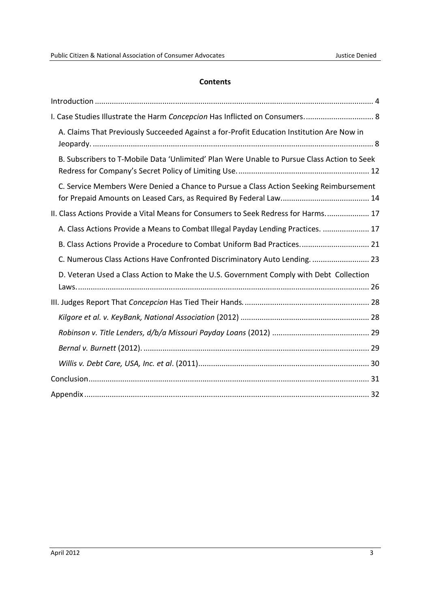#### **Contents**

| I. Case Studies Illustrate the Harm Concepcion Has Inflicted on Consumers 8                 |
|---------------------------------------------------------------------------------------------|
| A. Claims That Previously Succeeded Against a for-Profit Education Institution Are Now in   |
| B. Subscribers to T-Mobile Data 'Unlimited' Plan Were Unable to Pursue Class Action to Seek |
| C. Service Members Were Denied a Chance to Pursue a Class Action Seeking Reimbursement      |
| II. Class Actions Provide a Vital Means for Consumers to Seek Redress for Harms 17          |
| A. Class Actions Provide a Means to Combat Illegal Payday Lending Practices.  17            |
| B. Class Actions Provide a Procedure to Combat Uniform Bad Practices 21                     |
| C. Numerous Class Actions Have Confronted Discriminatory Auto Lending.  23                  |
| D. Veteran Used a Class Action to Make the U.S. Government Comply with Debt Collection      |
|                                                                                             |
|                                                                                             |
|                                                                                             |
|                                                                                             |
|                                                                                             |
|                                                                                             |
|                                                                                             |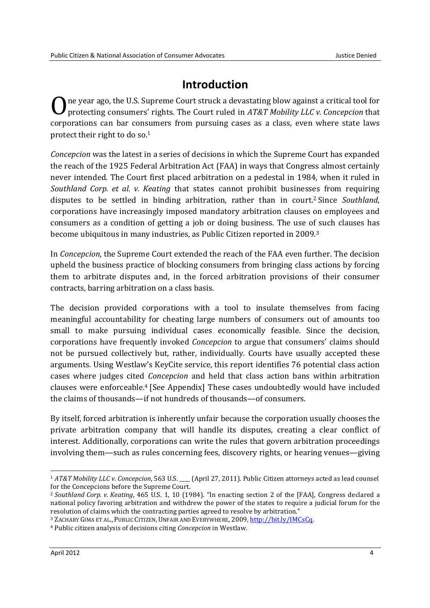### **Introduction**

ne year ago, the U.S. Supreme Court struck a devastating blow against a critical tool for protecting consumers' rights. The Court ruled in *AT&T Mobility LLC v. Concepcion* that corporations can bar consumers from pursuing cases as a class, even where state laws protect their right to do so.<sup>1</sup> O

*Concepcion* was the latest in a series of decisions in which the Supreme Court has expanded the reach of the 1925 Federal Arbitration Act (FAA) in ways that Congress almost certainly never intended. The Court first placed arbitration on a pedestal in 1984, when it ruled in *Southland Corp. et al. v. Keating* that states cannot prohibit businesses from requiring disputes to be settled in binding arbitration, rather than in court.2 Since *Southland*, corporations have increasingly imposed mandatory arbitration clauses on employees and consumers as a condition of getting a job or doing business. The use of such clauses has become ubiquitous in many industries, as Public Citizen reported in 2009.<sup>3</sup>

In *Concepcion*, the Supreme Court extended the reach of the FAA even further. The decision upheld the business practice of blocking consumers from bringing class actions by forcing them to arbitrate disputes and, in the forced arbitration provisions of their consumer contracts, barring arbitration on a class basis.

The decision provided corporations with a tool to insulate themselves from facing meaningful accountability for cheating large numbers of consumers out of amounts too small to make pursuing individual cases economically feasible. Since the decision*,* corporations have frequently invoked *Concepcion* to argue that consumers' claims should not be pursued collectively but, rather, individually. Courts have usually accepted these arguments. Using Westlaw's KeyCite service, this report identifies 76 potential class action cases where judges cited *Concepcion* and held that class action bans within arbitration clauses were enforceable.<sup>4</sup> [See Appendix] These cases undoubtedly would have included the claims of thousands—if not hundreds of thousands—of consumers.

By itself, forced arbitration is inherently unfair because the corporation usually chooses the private arbitration company that will handle its disputes, creating a clear conflict of interest. Additionally, corporations can write the rules that govern arbitration proceedings involving them—such as rules concerning fees, discovery rights, or hearing venues—giving

<sup>&</sup>lt;u>.</u> <sup>1</sup> *AT&T Mobility LLC v. Concepcion*, 563 U.S. (April 27, 2011). Public Citizen attorneys acted as lead counsel for the Concepcions before the Supreme Court.

<sup>2</sup> *Southland Corp. v. Keating*, 465 U.S. 1, 10 (1984). "In enacting section 2 of the [FAA], Congress declared a national policy favoring arbitration and withdrew the power of the states to require a judicial forum for the resolution of claims which the contracting parties agreed to resolve by arbitration."

<sup>3</sup> ZACHARY GIMA ET AL., PUBLIC CITIZEN, UNFAIR AND EVERYWHERE, 2009, http://bit.ly/IMCsCq.

<sup>4</sup> Public citizen analysis of decisions citing *Concepcion* in Westlaw.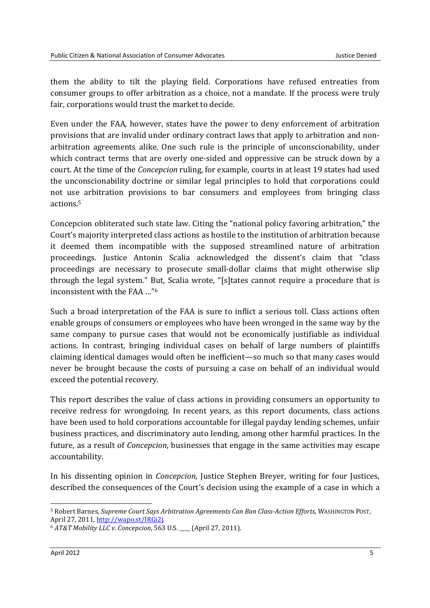them the ability to tilt the playing field. Corporations have refused entreaties from consumer groups to offer arbitration as a choice, not a mandate. If the process were truly fair, corporations would trust the market to decide.

Even under the FAA, however, states have the power to deny enforcement of arbitration provisions that are invalid under ordinary contract laws that apply to arbitration and nonarbitration agreements alike. One such rule is the principle of unconscionability, under which contract terms that are overly one-sided and oppressive can be struck down by a court. At the time of the *Concepcion* ruling, for example, courts in at least 19 states had used the unconscionability doctrine or similar legal principles to hold that corporations could not use arbitration provisions to bar consumers and employees from bringing class actions.<sup>5</sup>

Concepcion obliterated such state law. Citing the "national policy favoring arbitration," the Court's majority interpreted class actions as hostile to the institution of arbitration because it deemed them incompatible with the supposed streamlined nature of arbitration proceedings. Justice Antonin Scalia acknowledged the dissent's claim that "class proceedings are necessary to prosecute small-dollar claims that might otherwise slip through the legal system." But, Scalia wrote, "[s]tates cannot require a procedure that is inconsistent with the FAA …"<sup>6</sup>

Such a broad interpretation of the FAA is sure to inflict a serious toll. Class actions often enable groups of consumers or employees who have been wronged in the same way by the same company to pursue cases that would not be economically justifiable as individual actions. In contrast, bringing individual cases on behalf of large numbers of plaintiffs claiming identical damages would often be inefficient—so much so that many cases would never be brought because the costs of pursuing a case on behalf of an individual would exceed the potential recovery.

This report describes the value of class actions in providing consumers an opportunity to receive redress for wrongdoing. In recent years, as this report documents, class actions have been used to hold corporations accountable for illegal payday lending schemes, unfair business practices, and discriminatory auto lending, among other harmful practices. In the future, as a result of *Concepcion*, businesses that engage in the same activities may escape accountability.

In his dissenting opinion in *Concepcion*, Justice Stephen Breyer, writing for four Justices, described the consequences of the Court's decision using the example of a case in which a

<sup>5</sup> Robert Barnes, *Supreme Court Says Arbitration Agreements Can Ban Class-Action Efforts*, WASHINGTON POST, April 27, 2011, http://wapo.st/IRGi2j.

<sup>6</sup> *AT&T Mobility LLC v. Concepcion*, 563 U.S. \_\_\_\_ (April 27, 2011).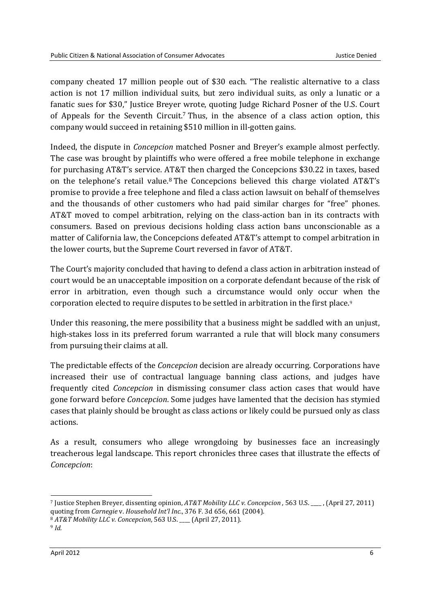company cheated 17 million people out of \$30 each. "The realistic alternative to a class action is not 17 million individual suits, but zero individual suits, as only a lunatic or a fanatic sues for \$30," Justice Breyer wrote, quoting Judge Richard Posner of the U.S. Court of Appeals for the Seventh Circuit.<sup>7</sup> Thus, in the absence of a class action option, this company would succeed in retaining \$510 million in ill-gotten gains.

Indeed, the dispute in *Concepcion* matched Posner and Breyer's example almost perfectly. The case was brought by plaintiffs who were offered a free mobile telephone in exchange for purchasing AT&T's service. AT&T then charged the Concepcions \$30.22 in taxes, based on the telephone's retail value.8 The Concepcions believed this charge violated AT&T's promise to provide a free telephone and filed a class action lawsuit on behalf of themselves and the thousands of other customers who had paid similar charges for "free" phones. AT&T moved to compel arbitration, relying on the class-action ban in its contracts with consumers. Based on previous decisions holding class action bans unconscionable as a matter of California law, the Concepcions defeated AT&T's attempt to compel arbitration in the lower courts, but the Supreme Court reversed in favor of AT&T.

The Court's majority concluded that having to defend a class action in arbitration instead of court would be an unacceptable imposition on a corporate defendant because of the risk of error in arbitration, even though such a circumstance would only occur when the corporation elected to require disputes to be settled in arbitration in the first place.<sup>9</sup>

Under this reasoning, the mere possibility that a business might be saddled with an unjust, high-stakes loss in its preferred forum warranted a rule that will block many consumers from pursuing their claims at all.

The predictable effects of the *Concepcion* decision are already occurring. Corporations have increased their use of contractual language banning class actions, and judges have frequently cited *Concepcion* in dismissing consumer class action cases that would have gone forward before *Concepcion*. Some judges have lamented that the decision has stymied cases that plainly should be brought as class actions or likely could be pursued only as class actions.

As a result, consumers who allege wrongdoing by businesses face an increasingly treacherous legal landscape. This report chronicles three cases that illustrate the effects of *Concepcion*:

<sup>7</sup> Justice Stephen Breyer, dissenting opinion, *AT&T Mobility LLC v. Concepcion* , 563 U.S. \_\_\_\_ , (April 27, 2011) quoting from *Carnegie* v. *Household Int'l Inc.*, 376 F. 3d 656, 661 (2004).

<sup>8</sup> *AT&T Mobility LLC v. Concepcion*, 563 U.S. \_\_\_\_ (April 27, 2011).

<sup>9</sup> *Id.*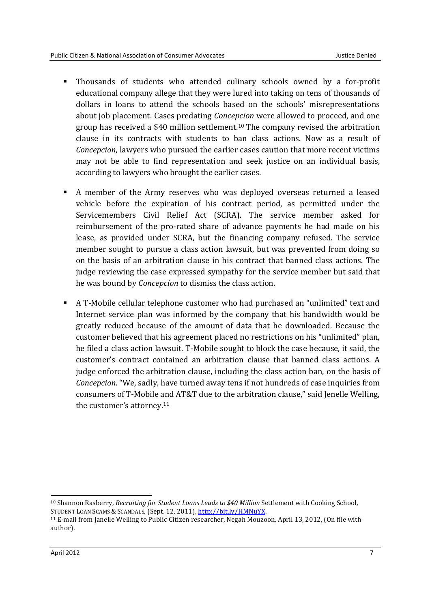- Thousands of students who attended culinary schools owned by a for-profit educational company allege that they were lured into taking on tens of thousands of dollars in loans to attend the schools based on the schools' misrepresentations about job placement. Cases predating *Concepcion* were allowed to proceed, and one group has received a \$40 million settlement.<sup>10</sup> The company revised the arbitration clause in its contracts with students to ban class actions. Now as a result of *Concepcion*, lawyers who pursued the earlier cases caution that more recent victims may not be able to find representation and seek justice on an individual basis, according to lawyers who brought the earlier cases.
- A member of the Army reserves who was deployed overseas returned a leased vehicle before the expiration of his contract period, as permitted under the Servicemembers Civil Relief Act (SCRA). The service member asked for reimbursement of the pro-rated share of advance payments he had made on his lease, as provided under SCRA, but the financing company refused. The service member sought to pursue a class action lawsuit, but was prevented from doing so on the basis of an arbitration clause in his contract that banned class actions. The judge reviewing the case expressed sympathy for the service member but said that he was bound by *Concepcion* to dismiss the class action.
- A T-Mobile cellular telephone customer who had purchased an "unlimited" text and Internet service plan was informed by the company that his bandwidth would be greatly reduced because of the amount of data that he downloaded. Because the customer believed that his agreement placed no restrictions on his "unlimited" plan, he filed a class action lawsuit. T-Mobile sought to block the case because, it said, the customer's contract contained an arbitration clause that banned class actions. A judge enforced the arbitration clause, including the class action ban, on the basis of *Concepcion*. "We, sadly, have turned away tens if not hundreds of case inquiries from consumers of T-Mobile and AT&T due to the arbitration clause," said Jenelle Welling, the customer's attorney.<sup>11</sup>

<sup>-</sup><sup>10</sup> Shannon Rasberry, *Recruiting for Student Loans Leads to \$40 Million Settlement with Cooking School,* STUDENT LOAN SCAMS & SCANDALS, (Sept. 12, 2011), http://bit.ly/HMNuYX.

<sup>11</sup> E-mail from Janelle Welling to Public Citizen researcher, Negah Mouzoon, April 13, 2012, (On file with author).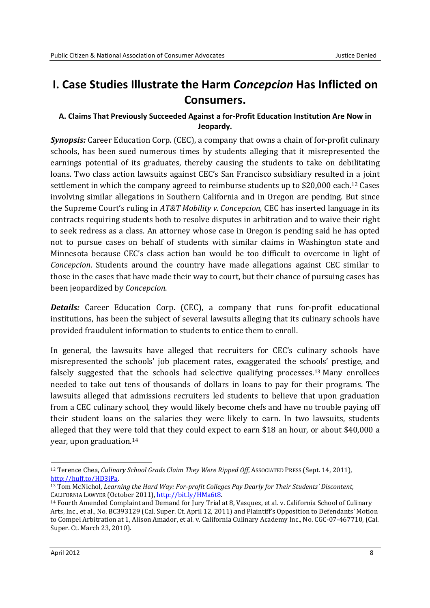### **I. Case Studies Illustrate the Harm** *Concepcion* **Has Inflicted on Consumers.**

### **A. Claims That Previously Succeeded Against a for-Profit Education Institution Are Now in Jeopardy.**

*Synopsis:* Career Education Corp. (CEC), a company that owns a chain of for-profit culinary schools, has been sued numerous times by students alleging that it misrepresented the earnings potential of its graduates, thereby causing the students to take on debilitating loans. Two class action lawsuits against CEC's San Francisco subsidiary resulted in a joint settlement in which the company agreed to reimburse students up to \$20,000 each.<sup>12</sup> Cases involving similar allegations in Southern California and in Oregon are pending. But since the Supreme Court's ruling in *AT&T Mobility v. Concepcion*, CEC has inserted language in its contracts requiring students both to resolve disputes in arbitration and to waive their right to seek redress as a class. An attorney whose case in Oregon is pending said he has opted not to pursue cases on behalf of students with similar claims in Washington state and Minnesota because CEC's class action ban would be too difficult to overcome in light of *Concepcion*. Students around the country have made allegations against CEC similar to those in the cases that have made their way to court, but their chance of pursuing cases has been jeopardized by *Concepcion*.

*Details:* Career Education Corp. (CEC), a company that runs for-profit educational institutions, has been the subject of several lawsuits alleging that its culinary schools have provided fraudulent information to students to entice them to enroll.

In general, the lawsuits have alleged that recruiters for CEC's culinary schools have misrepresented the schools' job placement rates, exaggerated the schools' prestige, and falsely suggested that the schools had selective qualifying processes.<sup>13</sup> Many enrollees needed to take out tens of thousands of dollars in loans to pay for their programs. The lawsuits alleged that admissions recruiters led students to believe that upon graduation from a CEC culinary school, they would likely become chefs and have no trouble paying off their student loans on the salaries they were likely to earn. In two lawsuits, students alleged that they were told that they could expect to earn \$18 an hour, or about \$40,000 a year, upon graduation.<sup>14</sup>

<sup>12</sup> Terence Chea, *Culinary School Grads Claim They Were Ripped Off*, ASSOCIATED PRESS (Sept. 14, 2011), http://huff.to/HD3iPa.

<sup>13</sup> Tom McNichol, *Learning the Hard Way: For-profit Colleges Pay Dearly for Their Students' Discontent*, CALIFORNIA LAWYER (October 2011), http://bit.ly/HMa6t8.

<sup>14</sup> Fourth Amended Complaint and Demand for Jury Trial at 8, Vasquez, et al. v. California School of Culinary Arts, Inc., et al., No. BC393129 (Cal. Super. Ct. April 12, 2011) and Plaintiff's Opposition to Defendants' Motion to Compel Arbitration at 1, Alison Amador, et al. v. California Culinary Academy Inc., No. CGC-07-467710, (Cal. Super. Ct. March 23, 2010).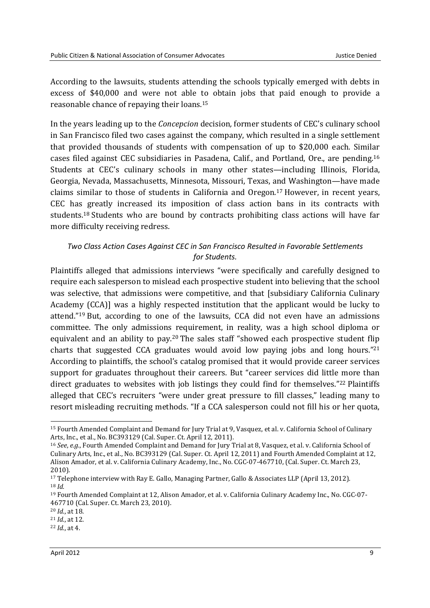According to the lawsuits, students attending the schools typically emerged with debts in excess of \$40,000 and were not able to obtain jobs that paid enough to provide a reasonable chance of repaying their loans.<sup>15</sup>

In the years leading up to the *Concepcion* decision*,* former students of CEC's culinary school in San Francisco filed two cases against the company, which resulted in a single settlement that provided thousands of students with compensation of up to \$20,000 each. Similar cases filed against CEC subsidiaries in Pasadena, Calif., and Portland, Ore., are pending.<sup>16</sup> Students at CEC's culinary schools in many other states—including Illinois, Florida, Georgia, Nevada, Massachusetts, Minnesota, Missouri, Texas, and Washington—have made claims similar to those of students in California and Oregon.<sup>17</sup> However, in recent years, CEC has greatly increased its imposition of class action bans in its contracts with students.18 Students who are bound by contracts prohibiting class actions will have far more difficulty receiving redress.

### *Two Class Action Cases Against CEC in San Francisco Resulted in Favorable Settlements for Students.*

Plaintiffs alleged that admissions interviews "were specifically and carefully designed to require each salesperson to mislead each prospective student into believing that the school was selective, that admissions were competitive, and that [subsidiary California Culinary Academy (CCA)] was a highly respected institution that the applicant would be lucky to attend."19 But, according to one of the lawsuits, CCA did not even have an admissions committee. The only admissions requirement, in reality, was a high school diploma or equivalent and an ability to pay.20 The sales staff "showed each prospective student flip charts that suggested CCA graduates would avoid low paying jobs and long hours."<sup>21</sup> According to plaintiffs, the school's catalog promised that it would provide career services support for graduates throughout their careers. But "career services did little more than direct graduates to websites with job listings they could find for themselves."22 Plaintiffs alleged that CEC's recruiters "were under great pressure to fill classes," leading many to resort misleading recruiting methods. "If a CCA salesperson could not fill his or her quota,

<sup>&</sup>lt;u>.</u> <sup>15</sup> Fourth Amended Complaint and Demand for Jury Trial at 9, Vasquez, et al. v. California School of Culinary Arts, Inc., et al., No. BC393129 (Cal. Super. Ct. April 12, 2011).

<sup>16</sup> *See*, *e.g.*, Fourth Amended Complaint and Demand for Jury Trial at 8, Vasquez, et al. v. California School of Culinary Arts, Inc., et al., No. BC393129 (Cal. Super. Ct. April 12, 2011) and Fourth Amended Complaint at 12, Alison Amador, et al. v. California Culinary Academy, Inc., No. CGC-07-467710, (Cal. Super. Ct. March 23, 2010).

<sup>17</sup> Telephone interview with Ray E. Gallo, Managing Partner, Gallo & Associates LLP (April 13, 2012). <sup>18</sup> *Id.*

<sup>19</sup> Fourth Amended Complaint at 12, Alison Amador, et al. v. California Culinary Academy Inc., No. CGC-07- 467710 (Cal. Super. Ct. March 23, 2010).

<sup>20</sup> *Id.*, at 18.

<sup>21</sup> *Id.*, at 12.

<sup>22</sup> *Id.*, at 4.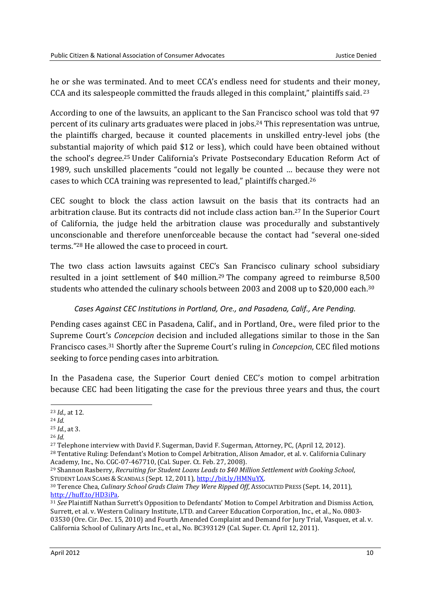he or she was terminated. And to meet CCA's endless need for students and their money, CCA and its salespeople committed the frauds alleged in this complaint," plaintiffs said.<sup>23</sup>

According to one of the lawsuits, an applicant to the San Francisco school was told that 97 percent of its culinary arts graduates were placed in jobs.24 This representation was untrue, the plaintiffs charged, because it counted placements in unskilled entry-level jobs (the substantial majority of which paid \$12 or less), which could have been obtained without the school's degree.25 Under California's Private Postsecondary Education Reform Act of 1989, such unskilled placements "could not legally be counted … because they were not cases to which CCA training was represented to lead," plaintiffs charged.<sup>26</sup>

CEC sought to block the class action lawsuit on the basis that its contracts had an arbitration clause. But its contracts did not include class action ban.27 In the Superior Court of California, the judge held the arbitration clause was procedurally and substantively unconscionable and therefore unenforceable because the contact had "several one-sided terms."28 He allowed the case to proceed in court.

The two class action lawsuits against CEC's San Francisco culinary school subsidiary resulted in a joint settlement of \$40 million.<sup>29</sup> The company agreed to reimburse 8,500 students who attended the culinary schools between 2003 and 2008 up to \$20,000 each.<sup>30</sup>

### *Cases Against CEC Institutions in Portland, Ore., and Pasadena, Calif., Are Pending.*

Pending cases against CEC in Pasadena, Calif., and in Portland, Ore., were filed prior to the Supreme Court's *Concepcion* decision and included allegations similar to those in the San Francisco cases.<sup>31</sup> Shortly after the Supreme Court's ruling in *Concepcion*, CEC filed motions seeking to force pending cases into arbitration.

In the Pasadena case, the Superior Court denied CEC's motion to compel arbitration because CEC had been litigating the case for the previous three years and thus, the court

**<sup>.</sup>** <sup>23</sup> *Id.,* at 12.

<sup>24</sup> *Id.*

<sup>25</sup> *Id.*, at 3.

<sup>26</sup> *Id.*

<sup>27</sup> Telephone interview with David F. Sugerman, David F. Sugerman, Attorney, PC, (April 12, 2012).

<sup>28</sup> Tentative Ruling: Defendant's Motion to Compel Arbitration, Alison Amador, et al. v. California Culinary Academy, Inc., No. CGC-07-467710, (Cal. Super. Ct. Feb. 27, 2008).

<sup>29</sup> Shannon Rasberry, *Recruiting for Student Loans Leads to \$40 Million Settlement with Cooking School*, STUDENT LOAN SCAMS & SCANDALS (Sept. 12, 2011), http://bit.ly/HMNuYX.

<sup>30</sup> Terence Chea, *Culinary School Grads Claim They Were Ripped Off*, ASSOCIATED PRESS (Sept. 14, 2011), http://huff.to/HD3iPa.

<sup>31</sup> *See* Plaintiff Nathan Surrett's Opposition to Defendants' Motion to Compel Arbitration and Dismiss Action, Surrett, et al. v. Western Culinary Institute, LTD. and Career Education Corporation, Inc., et al., No. 0803- 03530 (Ore. Cir. Dec. 15, 2010) and Fourth Amended Complaint and Demand for Jury Trial, Vasquez, et al. v. California School of Culinary Arts Inc., et al., No. BC393129 (Cal. Super. Ct. April 12, 2011).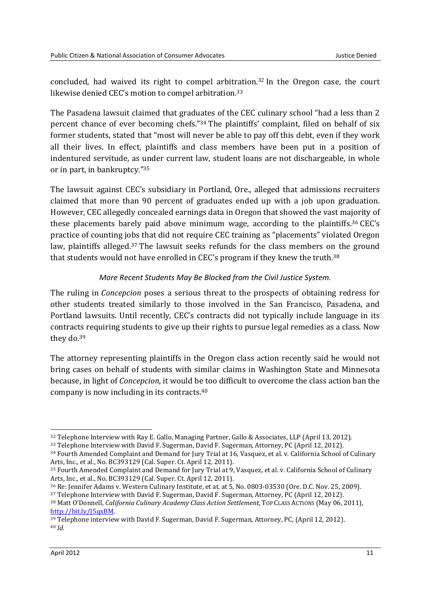concluded, had waived its right to compel arbitration.<sup>32</sup> In the Oregon case, the court likewise denied CEC's motion to compel arbitration.<sup>33</sup>

The Pasadena lawsuit claimed that graduates of the CEC culinary school "had a less than 2 percent chance of ever becoming chefs."34 The plaintiffs' complaint, filed on behalf of six former students, stated that "most will never be able to pay off this debt, even if they work all their lives. In effect, plaintiffs and class members have been put in a position of indentured servitude, as under current law, student loans are not dischargeable, in whole or in part, in bankruptcy."<sup>35</sup>

The lawsuit against CEC's subsidiary in Portland, Ore., alleged that admissions recruiters claimed that more than 90 percent of graduates ended up with a job upon graduation. However, CEC allegedly concealed earnings data in Oregon that showed the vast majority of these placements barely paid above minimum wage, according to the plaintiffs.<sup>36</sup> CEC's practice of counting jobs that did not require CEC training as "placements" violated Oregon law, plaintiffs alleged.37 The lawsuit seeks refunds for the class members on the ground that students would not have enrolled in CEC's program if they knew the truth.<sup>38</sup>

### *More Recent Students May Be Blocked from the Civil Justice System.*

The ruling in *Concepcion* poses a serious threat to the prospects of obtaining redress for other students treated similarly to those involved in the San Francisco, Pasadena, and Portland lawsuits. Until recently, CEC's contracts did not typically include language in its contracts requiring students to give up their rights to pursue legal remedies as a class. Now they do.<sup>39</sup>

The attorney representing plaintiffs in the Oregon class action recently said he would not bring cases on behalf of students with similar claims in Washington State and Minnesota because, in light of *Concepcion*, it would be too difficult to overcome the class action ban the company is now including in its contracts.<sup>40</sup>

**<sup>.</sup>** <sup>32</sup> Telephone Interview with Ray E. Gallo, Managing Partner, Gallo & Associates, LLP (April 13, 2012).

<sup>33</sup> Telephone Interview with David F. Sugerman, David F. Sugerman, Attorney, PC (April 12, 2012).

<sup>34</sup> Fourth Amended Complaint and Demand for Jury Trial at 16, Vasquez, et al. v. California School of Culinary Arts, Inc., et al., No. BC393129 (Cal. Super. Ct. April 12, 2011).

<sup>35</sup> Fourth Amended Complaint and Demand for Jury Trial at 9, Vasquez, et al. v. California School of Culinary Arts, Inc., et al., No. BC393129 (Cal. Super. Ct. April 12, 2011).

<sup>36</sup> Re: Jennifer Adams v. Western Culinary Institute, et at. at 5, No. 0803-03530 (Ore. D.C. Nov. 25, 2009).

<sup>37</sup> Telephone Interview with David F. Sugerman, David F. Sugerman, Attorney, PC (April 12, 2012).

<sup>38</sup> Matt O'Donnell, *California Culinary Academy Class Action Settlement*, TOP CLASS ACTIONS (May 06, 2011), http://bit.ly/J5qxBM.

<sup>39</sup> Telephone interview with David F. Sugerman, David F. Sugerman, Attorney, PC, (April 12, 2012). <sup>40</sup> *Id.*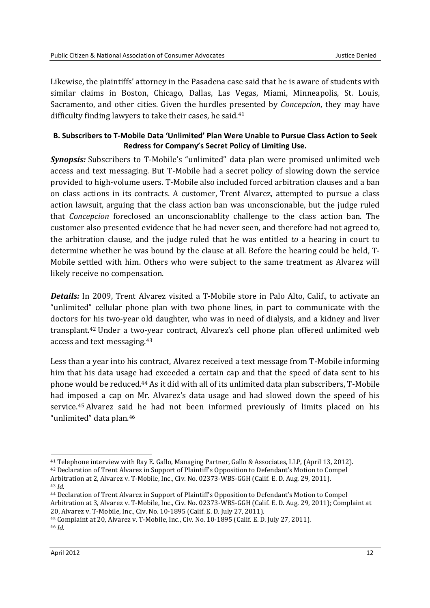Likewise, the plaintiffs' attorney in the Pasadena case said that he is aware of students with similar claims in Boston, Chicago, Dallas, Las Vegas, Miami, Minneapolis, St. Louis, Sacramento, and other cities. Given the hurdles presented by *Concepcion*, they may have difficulty finding lawyers to take their cases, he said.<sup>41</sup>

### **B. Subscribers to T-Mobile Data 'Unlimited' Plan Were Unable to Pursue Class Action to Seek Redress for Company's Secret Policy of Limiting Use.**

*Synopsis:* Subscribers to T-Mobile's "unlimited" data plan were promised unlimited web access and text messaging. But T-Mobile had a secret policy of slowing down the service provided to high-volume users. T-Mobile also included forced arbitration clauses and a ban on class actions in its contracts. A customer, Trent Alvarez, attempted to pursue a class action lawsuit, arguing that the class action ban was unconscionable, but the judge ruled that *Concepcion* foreclosed an unconscionablity challenge to the class action ban. The customer also presented evidence that he had never seen, and therefore had not agreed to, the arbitration clause, and the judge ruled that he was entitled *to* a hearing in court to determine whether he was bound by the clause at all. Before the hearing could be held, T-Mobile settled with him. Others who were subject to the same treatment as Alvarez will likely receive no compensation.

*Details:* In 2009, Trent Alvarez visited a T-Mobile store in Palo Alto, Calif., to activate an "unlimited" cellular phone plan with two phone lines, in part to communicate with the doctors for his two-year old daughter, who was in need of dialysis, and a kidney and liver transplant.42 Under a two-year contract, Alvarez's cell phone plan offered unlimited web access and text messaging.<sup>43</sup>

Less than a year into his contract, Alvarez received a text message from T-Mobile informing him that his data usage had exceeded a certain cap and that the speed of data sent to his phone would be reduced.44 As it did with all of its unlimited data plan subscribers, T-Mobile had imposed a cap on Mr. Alvarez's data usage and had slowed down the speed of his service.<sup>45</sup> Alvarez said he had not been informed previously of limits placed on his "unlimited" data plan.<sup>46</sup>

<sup>41</sup> Telephone interview with Ray E. Gallo, Managing Partner, Gallo & Associates, LLP, (April 13, 2012).

<sup>42</sup> Declaration of Trent Alvarez in Support of Plaintiff's Opposition to Defendant's Motion to Compel Arbitration at 2, Alvarez v. T-Mobile, Inc., Civ. No. 02373-WBS-GGH (Calif. E. D. Aug. 29, 2011).

<sup>43</sup> *Id.*

<sup>44</sup> Declaration of Trent Alvarez in Support of Plaintiff's Opposition to Defendant's Motion to Compel Arbitration at 3, Alvarez v. T-Mobile, Inc., Civ. No. 02373-WBS-GGH (Calif. E. D. Aug. 29, 2011); Complaint at 20, Alvarez v. T-Mobile, Inc., Civ. No. 10-1895 (Calif. E. D. July 27, 2011).

<sup>45</sup> Complaint at 20, Alvarez v. T-Mobile, Inc., Civ. No. 10-1895 (Calif. E. D. July 27, 2011). <sup>46</sup> *Id.*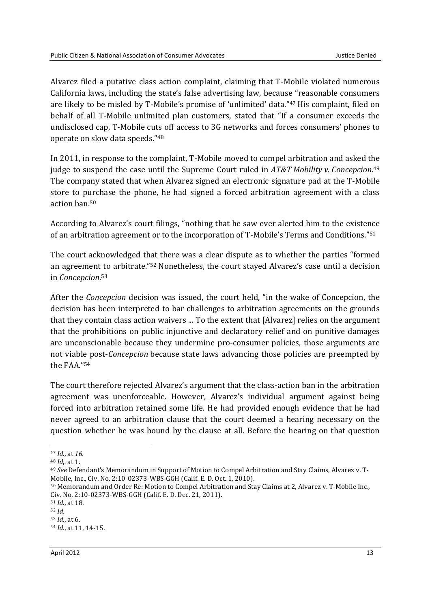Alvarez filed a putative class action complaint, claiming that T-Mobile violated numerous California laws, including the state's false advertising law, because "reasonable consumers are likely to be misled by T-Mobile's promise of 'unlimited' data."47 His complaint, filed on behalf of all T-Mobile unlimited plan customers, stated that "If a consumer exceeds the undisclosed cap, T-Mobile cuts off access to 3G networks and forces consumers' phones to operate on slow data speeds."<sup>48</sup>

In 2011, in response to the complaint, T-Mobile moved to compel arbitration and asked the judge to suspend the case until the Supreme Court ruled in *AT&T Mobility v. Concepcion*. 49 The company stated that when Alvarez signed an electronic signature pad at the T-Mobile store to purchase the phone, he had signed a forced arbitration agreement with a class action ban.<sup>50</sup>

According to Alvarez's court filings, "nothing that he saw ever alerted him to the existence of an arbitration agreement or to the incorporation of T-Mobile's Terms and Conditions."<sup>51</sup>

The court acknowledged that there was a clear dispute as to whether the parties "formed an agreement to arbitrate."52 Nonetheless, the court stayed Alvarez's case until a decision in *Concepcion*. 53

After the *Concepcion* decision was issued, the court held, "in the wake of Concepcion, the decision has been interpreted to bar challenges to arbitration agreements on the grounds that they contain class action waivers ... To the extent that [Alvarez] relies on the argument that the prohibitions on public injunctive and declaratory relief and on punitive damages are unconscionable because they undermine pro-consumer policies, those arguments are not viable post-*Concepcion* because state laws advancing those policies are preempted by the FAA."<sup>54</sup>

The court therefore rejected Alvarez's argument that the class-action ban in the arbitration agreement was unenforceable. However, Alvarez's individual argument against being forced into arbitration retained some life. He had provided enough evidence that he had never agreed to an arbitration clause that the court deemed a hearing necessary on the question whether he was bound by the clause at all. Before the hearing on that question

**<sup>.</sup>** <sup>47</sup> *Id.*, at *16.*

<sup>48</sup> *Id*,*.* at 1.

<sup>49</sup> *See* Defendant's Memorandum in Support of Motion to Compel Arbitration and Stay Claims, Alvarez v. T-Mobile, Inc., Civ. No. 2:10-02373-WBS-GGH (Calif. E. D. Oct. 1, 2010).

<sup>50</sup> Memorandum and Order Re: Motion to Compel Arbitration and Stay Claims at 2, Alvarez v. T-Mobile Inc., Civ. No. 2:10-02373-WBS-GGH (Calif. E. D. Dec. 21, 2011).

<sup>51</sup> *Id.*, at 18.

<sup>52</sup> *Id.*

<sup>53</sup> *Id.*, at 6. <sup>54</sup> *Id.*, at 11, 14-15.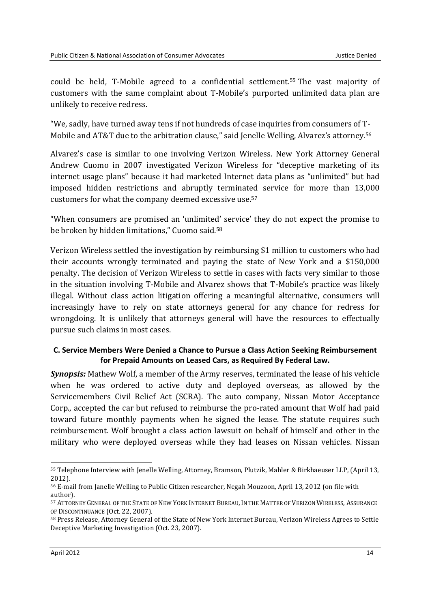could be held, T-Mobile agreed to a confidential settlement.<sup>55</sup> The vast majority of customers with the same complaint about T-Mobile's purported unlimited data plan are unlikely to receive redress.

"We, sadly, have turned away tens if not hundreds of case inquiries from consumers of T-Mobile and AT&T due to the arbitration clause," said Jenelle Welling, Alvarez's attorney.<sup>56</sup>

Alvarez's case is similar to one involving Verizon Wireless. New York Attorney General Andrew Cuomo in 2007 investigated Verizon Wireless for "deceptive marketing of its internet usage plans" because it had marketed Internet data plans as "unlimited" but had imposed hidden restrictions and abruptly terminated service for more than 13,000 customers for what the company deemed excessive use. 57

"When consumers are promised an 'unlimited' service' they do not expect the promise to be broken by hidden limitations," Cuomo said.<sup>58</sup>

Verizon Wireless settled the investigation by reimbursing \$1 million to customers who had their accounts wrongly terminated and paying the state of New York and a \$150,000 penalty. The decision of Verizon Wireless to settle in cases with facts very similar to those in the situation involving T-Mobile and Alvarez shows that T-Mobile's practice was likely illegal. Without class action litigation offering a meaningful alternative, consumers will increasingly have to rely on state attorneys general for any chance for redress for wrongdoing. It is unlikely that attorneys general will have the resources to effectually pursue such claims in most cases.

### **C. Service Members Were Denied a Chance to Pursue a Class Action Seeking Reimbursement for Prepaid Amounts on Leased Cars, as Required By Federal Law.**

*Synopsis:* Mathew Wolf, a member of the Army reserves, terminated the lease of his vehicle when he was ordered to active duty and deployed overseas, as allowed by the Servicemembers Civil Relief Act (SCRA). The auto company, Nissan Motor Acceptance Corp., accepted the car but refused to reimburse the pro-rated amount that Wolf had paid toward future monthly payments when he signed the lease. The statute requires such reimbursement. Wolf brought a class action lawsuit on behalf of himself and other in the military who were deployed overseas while they had leases on Nissan vehicles. Nissan

<sup>55</sup> Telephone Interview with Jenelle Welling, Attorney, Bramson, Plutzik, Mahler & Birkhaeuser LLP, (April 13, 2012).

<sup>56</sup> E-mail from Janelle Welling to Public Citizen researcher, Negah Mouzoon, April 13, 2012 (on file with author).

<sup>57</sup> ATTORNEY GENERAL OF THE STATE OF NEW YORK INTERNET BUREAU, IN THE MATTER OF VERIZON WIRELESS, ASSURANCE OF DISCONTINUANCE (Oct. 22, 2007).

<sup>58</sup> Press Release, Attorney General of the State of New York Internet Bureau, Verizon Wireless Agrees to Settle Deceptive Marketing Investigation (Oct. 23, 2007).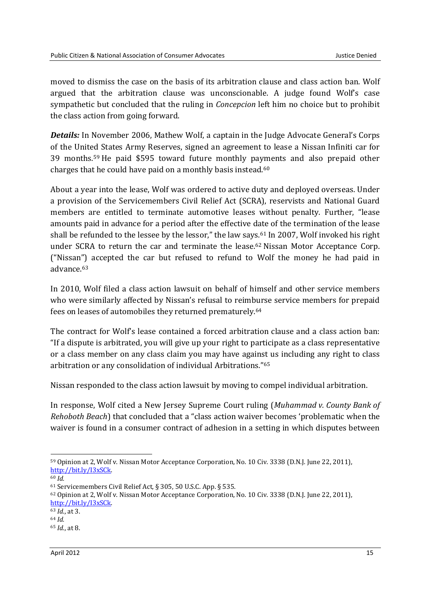moved to dismiss the case on the basis of its arbitration clause and class action ban. Wolf argued that the arbitration clause was unconscionable. A judge found Wolf's case sympathetic but concluded that the ruling in *Concepcion* left him no choice but to prohibit the class action from going forward.

*Details:* In November 2006, Mathew Wolf, a captain in the Judge Advocate General's Corps of the United States Army Reserves, signed an agreement to lease a Nissan Infiniti car for 39 months.59 He paid \$595 toward future monthly payments and also prepaid other charges that he could have paid on a monthly basis instead.<sup>60</sup>

About a year into the lease, Wolf was ordered to active duty and deployed overseas. Under a provision of the Servicemembers Civil Relief Act (SCRA), reservists and National Guard members are entitled to terminate automotive leases without penalty. Further, "lease amounts paid in advance for a period after the effective date of the termination of the lease shall be refunded to the lessee by the lessor," the law says.<sup>61</sup> In 2007, Wolf invoked his right under SCRA to return the car and terminate the lease.62 Nissan Motor Acceptance Corp. ("Nissan") accepted the car but refused to refund to Wolf the money he had paid in advance.<sup>63</sup>

In 2010, Wolf filed a class action lawsuit on behalf of himself and other service members who were similarly affected by Nissan's refusal to reimburse service members for prepaid fees on leases of automobiles they returned prematurely.<sup>64</sup>

The contract for Wolf's lease contained a forced arbitration clause and a class action ban: "If a dispute is arbitrated, you will give up your right to participate as a class representative or a class member on any class claim you may have against us including any right to class arbitration or any consolidation of individual Arbitrations."<sup>65</sup>

Nissan responded to the class action lawsuit by moving to compel individual arbitration.

In response, Wolf cited a New Jersey Supreme Court ruling (*Muhammad v. County Bank of Rehoboth Beach*) that concluded that a "class action waiver becomes 'problematic when the waiver is found in a consumer contract of adhesion in a setting in which disputes between

<sup>59</sup> Opinion at 2, Wolf v. Nissan Motor Acceptance Corporation, No. 10 Civ. 3338 (D.N.J. June 22, 2011), http://bit.ly/I3xSCk.

<sup>60</sup> *Id.*

<sup>61</sup> Servicemembers Civil Relief Act, § 305, 50 U.S.C. App. § 535.

<sup>62</sup> Opinion at 2, Wolf v. Nissan Motor Acceptance Corporation, No. 10 Civ. 3338 (D.N.J. June 22, 2011), http://bit.ly/I3xSCk.

<sup>63</sup> *Id.*, at 3.

<sup>64</sup> *Id.*

<sup>65</sup> *Id.*, at 8.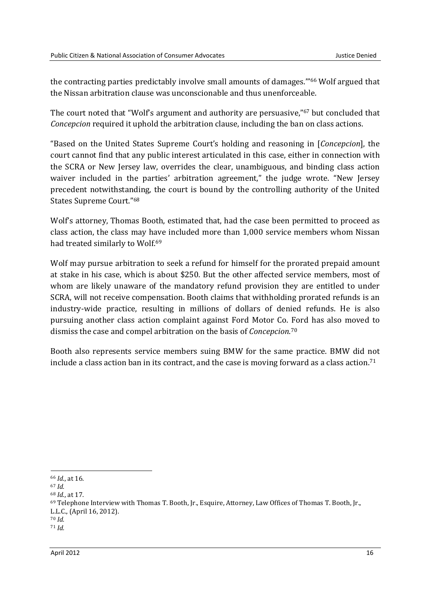the contracting parties predictably involve small amounts of damages.'"<sup>66</sup> Wolf argued that the Nissan arbitration clause was unconscionable and thus unenforceable.

The court noted that "Wolf's argument and authority are persuasive,"<sup>67</sup> but concluded that *Concepcion* required it uphold the arbitration clause, including the ban on class actions.

"Based on the United States Supreme Court's holding and reasoning in [*Concepcion*], the court cannot find that any public interest articulated in this case, either in connection with the SCRA or New Jersey law, overrides the clear, unambiguous, and binding class action waiver included in the parties' arbitration agreement," the judge wrote. "New Jersey precedent notwithstanding, the court is bound by the controlling authority of the United States Supreme Court."<sup>68</sup>

Wolf's attorney, Thomas Booth, estimated that, had the case been permitted to proceed as class action, the class may have included more than 1,000 service members whom Nissan had treated similarly to Wolf.<sup>69</sup>

Wolf may pursue arbitration to seek a refund for himself for the prorated prepaid amount at stake in his case, which is about \$250. But the other affected service members, most of whom are likely unaware of the mandatory refund provision they are entitled to under SCRA, will not receive compensation. Booth claims that withholding prorated refunds is an industry-wide practice, resulting in millions of dollars of denied refunds. He is also pursuing another class action complaint against Ford Motor Co. Ford has also moved to dismiss the case and compel arbitration on the basis of *Concepcion*. 70

Booth also represents service members suing BMW for the same practice. BMW did not include a class action ban in its contract, and the case is moving forward as a class action.<sup>71</sup>

<sup>66</sup> *Id*., at 16.

<sup>67</sup> *Id.*

<sup>68</sup> *Id.*, at 17.

<sup>69</sup> Telephone Interview with Thomas T. Booth, Jr., Esquire, Attorney, Law Offices of Thomas T. Booth, Jr.,

L.L.C., (April 16, 2012).

<sup>70</sup> *Id.* <sup>71</sup> *Id.*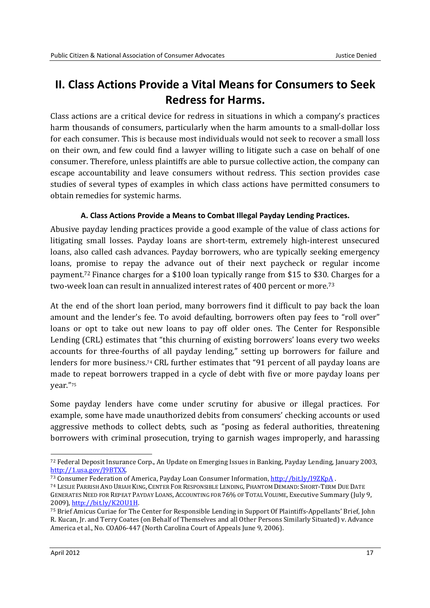### **II. Class Actions Provide a Vital Means for Consumers to Seek Redress for Harms.**

Class actions are a critical device for redress in situations in which a company's practices harm thousands of consumers, particularly when the harm amounts to a small-dollar loss for each consumer. This is because most individuals would not seek to recover a small loss on their own, and few could find a lawyer willing to litigate such a case on behalf of one consumer. Therefore, unless plaintiffs are able to pursue collective action, the company can escape accountability and leave consumers without redress. This section provides case studies of several types of examples in which class actions have permitted consumers to obtain remedies for systemic harms.

### **A. Class Actions Provide a Means to Combat Illegal Payday Lending Practices.**

Abusive payday lending practices provide a good example of the value of class actions for litigating small losses. Payday loans are short-term, extremely high-interest unsecured loans, also called cash advances. Payday borrowers, who are typically seeking emergency loans, promise to repay the advance out of their next paycheck or regular income payment.72 Finance charges for a \$100 loan typically range from \$15 to \$30. Charges for a two-week loan can result in annualized interest rates of 400 percent or more.<sup>73</sup>

At the end of the short loan period, many borrowers find it difficult to pay back the loan amount and the lender's fee. To avoid defaulting, borrowers often pay fees to "roll over" loans or opt to take out new loans to pay off older ones. The Center for Responsible Lending (CRL) estimates that "this churning of existing borrowers' loans every two weeks accounts for three-fourths of all payday lending," setting up borrowers for failure and lenders for more business.74 CRL further estimates that "91 percent of all payday loans are made to repeat borrowers trapped in a cycle of debt with five or more payday loans per year."<sup>75</sup>

Some payday lenders have come under scrutiny for abusive or illegal practices. For example, some have made unauthorized debits from consumers' checking accounts or used aggressive methods to collect debts, such as "posing as federal authorities, threatening borrowers with criminal prosecution, trying to garnish wages improperly, and harassing

<sup>72</sup> Federal Deposit Insurance Corp., An Update on Emerging Issues in Banking, Payday Lending, January 2003, http://1.usa.gov/J9BTXX.

<sup>73</sup> Consumer Federation of America, Payday Loan Consumer Information, http://bit.ly/I9ZKpA .

<sup>74</sup> LESLIE PARRISH AND URIAH KING, CENTER FOR RESPONSIBLE LENDING, PHANTOM DEMAND: SHORT-TERM DUE DATE GENERATES NEED FOR REPEAT PAYDAY LOANS, ACCOUNTING FOR 76% OF TOTAL VOLUME, Executive Summary (July 9, 2009), http://bit.ly/K2OU1H.

<sup>75</sup> Brief Amicus Curiae for The Center for Responsible Lending in Support Of Plaintiffs-Appellants' Brief, John R. Kucan, Jr. and Terry Coates (on Behalf of Themselves and all Other Persons Similarly Situated) v. Advance America et al., No. COA06-447 (North Carolina Court of Appeals June 9, 2006).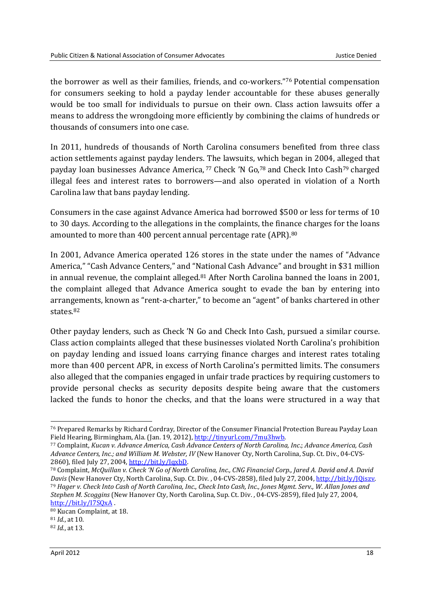the borrower as well as their families, friends, and co-workers."<sup>76</sup> Potential compensation for consumers seeking to hold a payday lender accountable for these abuses generally would be too small for individuals to pursue on their own. Class action lawsuits offer a means to address the wrongdoing more efficiently by combining the claims of hundreds or thousands of consumers into one case.

In 2011, hundreds of thousands of North Carolina consumers benefited from three class action settlements against payday lenders. The lawsuits, which began in 2004, alleged that payday loan businesses Advance America,<sup>77</sup> Check 'N Go,<sup>78</sup> and Check Into Cash<sup>79</sup> charged illegal fees and interest rates to borrowers—and also operated in violation of a North Carolina law that bans payday lending.

Consumers in the case against Advance America had borrowed \$500 or less for terms of 10 to 30 days. According to the allegations in the complaints, the finance charges for the loans amounted to more than 400 percent annual percentage rate (APR).<sup>80</sup>

In 2001, Advance America operated 126 stores in the state under the names of "Advance America," "Cash Advance Centers," and "National Cash Advance" and brought in \$31 million in annual revenue, the complaint alleged.<sup>81</sup> After North Carolina banned the loans in 2001, the complaint alleged that Advance America sought to evade the ban by entering into arrangements, known as "rent-a-charter," to become an "agent" of banks chartered in other states.<sup>82</sup>

Other payday lenders, such as Check 'N Go and Check Into Cash, pursued a similar course. Class action complaints alleged that these businesses violated North Carolina's prohibition on payday lending and issued loans carrying finance charges and interest rates totaling more than 400 percent APR, in excess of North Carolina's permitted limits. The consumers also alleged that the companies engaged in unfair trade practices by requiring customers to provide personal checks as security deposits despite being aware that the customers lacked the funds to honor the checks, and that the loans were structured in a way that

<sup>76</sup> Prepared Remarks by Richard Cordray, Director of the Consumer Financial Protection Bureau Payday Loan Field Hearing, Birmingham, Ala. (Jan. 19, 2012), http://tinyurl.com/7mu3hwb.

<sup>77</sup> Complaint, *Kucan v. Advance America*, *Cash Advance Centers of North Carolina, Inc*.; *Advance America, Cash Advance Centers, Inc.; and William M. Webster, IV* (New Hanover Cty, North Carolina, Sup. Ct. Div., 04-CVS-2860), filed July 27, 2004, http://bit.ly/IqxbD.

<sup>78</sup> Complaint, *McQuillan v. Check 'N Go of North Carolina, Inc., CNG Financial Corp., Jared A. David and A. David Davis* (New Hanover Cty, North Carolina, Sup. Ct. Div. , 04-CVS-2858), filed July 27, 2004, http://bit.ly/JQiszv. <sup>79</sup> *Hager v. Check Into Cash of North Carolina, Inc., Check Into Cash, Inc., Jones Mgmt. Serv., W. Allan Jones and Stephen M. Scoggins* (New Hanover Cty, North Carolina, Sup. Ct. Div. , 04-CVS-2859), filed July 27, 2004, http://bit.ly/I7SQxA .

<sup>80</sup> Kucan Complaint, at 18.

<sup>81</sup> *Id.*, at 10.

<sup>82</sup> *Id.*, at 13.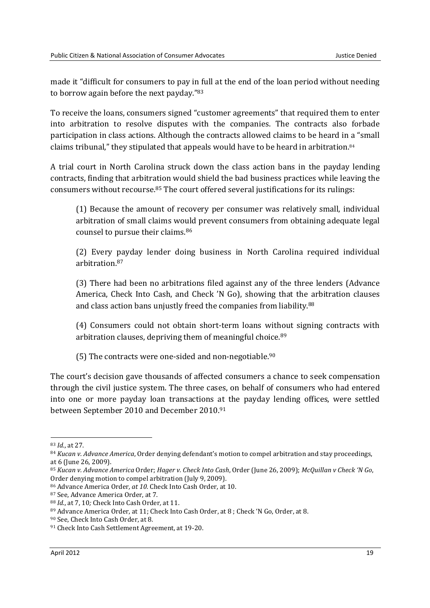made it "difficult for consumers to pay in full at the end of the loan period without needing to borrow again before the next payday."<sup>83</sup>

To receive the loans, consumers signed "customer agreements" that required them to enter into arbitration to resolve disputes with the companies. The contracts also forbade participation in class actions. Although the contracts allowed claims to be heard in a "small claims tribunal," they stipulated that appeals would have to be heard in arbitration.<sup>84</sup>

A trial court in North Carolina struck down the class action bans in the payday lending contracts, finding that arbitration would shield the bad business practices while leaving the consumers without recourse.85 The court offered several justifications for its rulings:

(1) Because the amount of recovery per consumer was relatively small, individual arbitration of small claims would prevent consumers from obtaining adequate legal counsel to pursue their claims.<sup>86</sup>

(2) Every payday lender doing business in North Carolina required individual arbitration.<sup>87</sup>

(3) There had been no arbitrations filed against any of the three lenders (Advance America, Check Into Cash, and Check 'N Go), showing that the arbitration clauses and class action bans unjustly freed the companies from liability.<sup>88</sup>

(4) Consumers could not obtain short-term loans without signing contracts with arbitration clauses, depriving them of meaningful choice.<sup>89</sup>

(5) The contracts were one-sided and non-negotiable. 90

The court's decision gave thousands of affected consumers a chance to seek compensation through the civil justice system. The three cases, on behalf of consumers who had entered into one or more payday loan transactions at the payday lending offices, were settled between September 2010 and December 2010.<sup>91</sup>

<sup>83</sup> *Id.*, at 27.

<sup>84</sup> *Kucan v. Advance America*, Order denying defendant's motion to compel arbitration and stay proceedings, at 6 (June 26, 2009).

<sup>85</sup> *Kucan v. Advance America* Order; *Hager v. Check Into Cash*, Order (June 26, 2009); *McQuillan v Check 'N Go*, Order denying motion to compel arbitration (July 9, 2009).

<sup>86</sup> Advance America Order*, at 10.* Check Into Cash Order, at 10.

<sup>87</sup> See, Advance America Order, at 7.

<sup>88</sup> *Id.*, at 7, 10*;* Check Into Cash Order*,* at 11.

<sup>89</sup> Advance America Order, at 11; Check Into Cash Order, at 8; Check 'N Go, Order, at 8.

<sup>90</sup> See, Check Into Cash Order, at 8*.*

<sup>91</sup> Check Into Cash Settlement Agreement, at 19-20.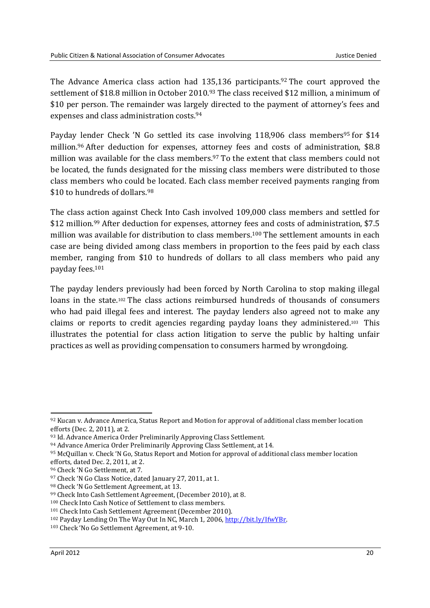The Advance America class action had 135,136 participants.<sup>92</sup> The court approved the settlement of \$18.8 million in October 2010.93 The class received \$12 million, a minimum of \$10 per person. The remainder was largely directed to the payment of attorney's fees and expenses and class administration costs.<sup>94</sup>

Payday lender Check 'N Go settled its case involving 118,906 class members<sup>95</sup> for \$14 million.96 After deduction for expenses, attorney fees and costs of administration, \$8.8 million was available for the class members.97 To the extent that class members could not be located, the funds designated for the missing class members were distributed to those class members who could be located. Each class member received payments ranging from \$10 to hundreds of dollars.<sup>98</sup>

The class action against Check Into Cash involved 109,000 class members and settled for \$12 million.<sup>99</sup> After deduction for expenses, attorney fees and costs of administration, \$7.5 million was available for distribution to class members.100 The settlement amounts in each case are being divided among class members in proportion to the fees paid by each class member, ranging from \$10 to hundreds of dollars to all class members who paid any payday fees.<sup>101</sup>

The payday lenders previously had been forced by North Carolina to stop making illegal loans in the state.102 The class actions reimbursed hundreds of thousands of consumers who had paid illegal fees and interest. The payday lenders also agreed not to make any claims or reports to credit agencies regarding payday loans they administered.103 This illustrates the potential for class action litigation to serve the public by halting unfair practices as well as providing compensation to consumers harmed by wrongdoing.

<sup>92</sup> Kucan v. Advance America, Status Report and Motion for approval of additional class member location efforts (Dec. 2, 2011), at 2.

<sup>93</sup> Id. Advance America Order Preliminarily Approving Class Settlement*.*

<sup>94</sup> Advance America Order Preliminarily Approving Class Settlement, at 14.

<sup>95</sup> McQuillan v. Check 'N Go, Status Report and Motion for approval of additional class member location efforts, dated Dec. 2, 2011, at 2.

<sup>96</sup> Check 'N Go Settlement, at 7.

<sup>97</sup> Check 'N Go Class Notice, dated January 27, 2011, at 1.

<sup>98</sup> Check 'N Go Settlement Agreement, at 13.

<sup>99</sup> Check Into Cash Settlement Agreement, (December 2010), at 8.

<sup>100</sup> Check Into Cash Notice of Settlement to class members.

<sup>101</sup> Check Into Cash Settlement Agreement (December 2010).

<sup>102</sup> Payday Lending On The Way Out In NC, March 1, 2006, http://bit.ly/IfwYBr.

<sup>103</sup> Check 'No Go Settlement Agreement, at 9-10.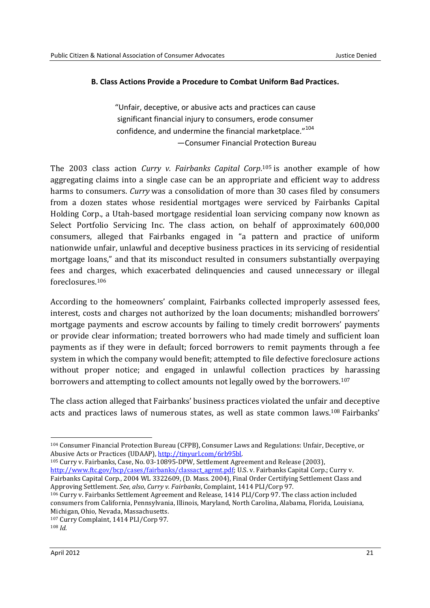### **B. Class Actions Provide a Procedure to Combat Uniform Bad Practices.**

"Unfair, deceptive, or abusive acts and practices can cause significant financial injury to consumers, erode consumer confidence, and undermine the financial marketplace."<sup>104</sup> —Consumer Financial Protection Bureau

The 2003 class action *Curry v. Fairbanks Capital Corp*. <sup>105</sup> is another example of how aggregating claims into a single case can be an appropriate and efficient way to address harms to consumers. *Curry* was a consolidation of more than 30 cases filed by consumers from a dozen states whose residential mortgages were serviced by Fairbanks Capital Holding Corp., a Utah-based mortgage residential loan servicing company now known as Select Portfolio Servicing Inc. The class action, on behalf of approximately 600,000 consumers, alleged that Fairbanks engaged in "a pattern and practice of uniform nationwide unfair, unlawful and deceptive business practices in its servicing of residential mortgage loans," and that its misconduct resulted in consumers substantially overpaying fees and charges, which exacerbated delinquencies and caused unnecessary or illegal foreclosures.<sup>106</sup>

According to the homeowners' complaint, Fairbanks collected improperly assessed fees, interest, costs and charges not authorized by the loan documents; mishandled borrowers' mortgage payments and escrow accounts by failing to timely credit borrowers' payments or provide clear information; treated borrowers who had made timely and sufficient loan payments as if they were in default; forced borrowers to remit payments through a fee system in which the company would benefit; attempted to file defective foreclosure actions without proper notice; and engaged in unlawful collection practices by harassing borrowers and attempting to collect amounts not legally owed by the borrowers.<sup>107</sup>

The class action alleged that Fairbanks' business practices violated the unfair and deceptive acts and practices laws of numerous states, as well as state common laws.<sup>108</sup> Fairbanks'

<sup>105</sup> Curry v. Fairbanks, Case, No. 03-10895-DPW, Settlement Agreement and Release (2003), http://www.ftc.gov/bcp/cases/fairbanks/classact\_agrmt.pdf; U.S. v. Fairbanks Capital Corp.; Curry v. Fairbanks Capital Corp., 2004 WL 3322609, (D. Mass. 2004), Final Order Certifying Settlement Class and Approving Settlement. *See, also*, *Curry v. Fairbanks*, Complaint, 1414 PLI/Corp 97.

<sup>106</sup> Curry v. Fairbanks Settlement Agreement and Release, 1414 PLI/Corp 97. The class action included consumers from California, Pennsylvania, Illinois, Maryland, North Carolina, Alabama, Florida, Louisiana, Michigan, Ohio, Nevada, Massachusetts.

<sup>-</sup><sup>104</sup> Consumer Financial Protection Bureau (CFPB), Consumer Laws and Regulations: Unfair, Deceptive, or Abusive Acts or Practices (UDAAP), http://tinyurl.com/6rb95bl.

<sup>107</sup> Curry Complaint, 1414 PLI/Corp 97.

<sup>108</sup> *Id.*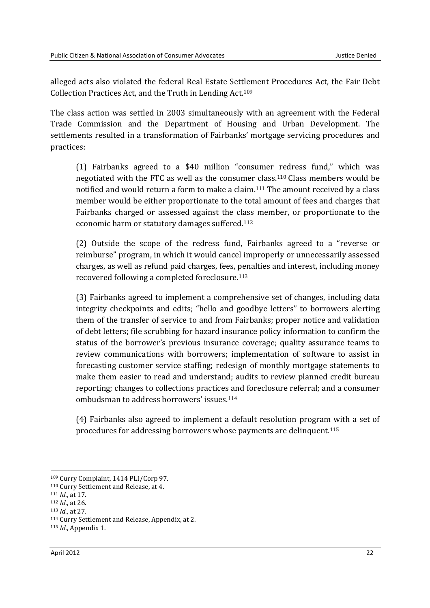alleged acts also violated the federal Real Estate Settlement Procedures Act, the Fair Debt Collection Practices Act, and the Truth in Lending Act.<sup>109</sup>

The class action was settled in 2003 simultaneously with an agreement with the Federal Trade Commission and the Department of Housing and Urban Development. The settlements resulted in a transformation of Fairbanks' mortgage servicing procedures and practices:

(1) Fairbanks agreed to a \$40 million "consumer redress fund," which was negotiated with the FTC as well as the consumer class.110 Class members would be notified and would return a form to make a claim.111 The amount received by a class member would be either proportionate to the total amount of fees and charges that Fairbanks charged or assessed against the class member, or proportionate to the economic harm or statutory damages suffered.<sup>112</sup>

(2) Outside the scope of the redress fund, Fairbanks agreed to a "reverse or reimburse" program, in which it would cancel improperly or unnecessarily assessed charges, as well as refund paid charges, fees, penalties and interest, including money recovered following a completed foreclosure.<sup>113</sup>

(3) Fairbanks agreed to implement a comprehensive set of changes, including data integrity checkpoints and edits; "hello and goodbye letters" to borrowers alerting them of the transfer of service to and from Fairbanks; proper notice and validation of debt letters; file scrubbing for hazard insurance policy information to confirm the status of the borrower's previous insurance coverage; quality assurance teams to review communications with borrowers; implementation of software to assist in forecasting customer service staffing; redesign of monthly mortgage statements to make them easier to read and understand; audits to review planned credit bureau reporting; changes to collections practices and foreclosure referral; and a consumer ombudsman to address borrowers' issues.<sup>114</sup>

(4) Fairbanks also agreed to implement a default resolution program with a set of procedures for addressing borrowers whose payments are delinquent.<sup>115</sup>

<sup>109</sup> Curry Complaint, 1414 PLI/Corp 97.

<sup>110</sup> Curry Settlement and Release, at 4.

<sup>111</sup> *Id.*, at 17.

<sup>112</sup> *Id.*, at 26.

<sup>113</sup> *Id.*, at 27.

<sup>114</sup> Curry Settlement and Release, Appendix, at 2.

<sup>115</sup> *Id.*, Appendix 1.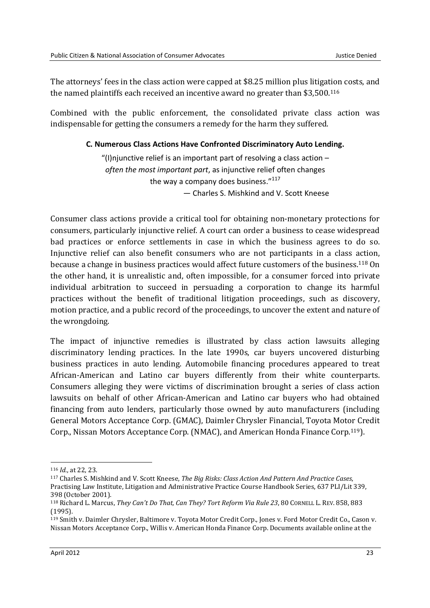The attorneys' fees in the class action were capped at \$8.25 million plus litigation costs, and the named plaintiffs each received an incentive award no greater than \$3,500.<sup>116</sup>

Combined with the public enforcement, the consolidated private class action was indispensable for getting the consumers a remedy for the harm they suffered.

### **C. Numerous Class Actions Have Confronted Discriminatory Auto Lending.**

"(I)njunctive relief is an important part of resolving a class action  $$ *often the most important part*, as injunctive relief often changes the way a company does business."<sup>117</sup> — Charles S. Mishkind and V. Scott Kneese

Consumer class actions provide a critical tool for obtaining non-monetary protections for consumers, particularly injunctive relief. A court can order a business to cease widespread bad practices or enforce settlements in case in which the business agrees to do so. Injunctive relief can also benefit consumers who are not participants in a class action, because a change in business practices would affect future customers of the business.<sup>118</sup> On the other hand, it is unrealistic and, often impossible, for a consumer forced into private individual arbitration to succeed in persuading a corporation to change its harmful practices without the benefit of traditional litigation proceedings, such as discovery, motion practice, and a public record of the proceedings, to uncover the extent and nature of the wrongdoing.

The impact of injunctive remedies is illustrated by class action lawsuits alleging discriminatory lending practices. In the late 1990s, car buyers uncovered disturbing business practices in auto lending. Automobile financing procedures appeared to treat African-American and Latino car buyers differently from their white counterparts. Consumers alleging they were victims of discrimination brought a series of class action lawsuits on behalf of other African-American and Latino car buyers who had obtained financing from auto lenders, particularly those owned by auto manufacturers (including General Motors Acceptance Corp. (GMAC), Daimler Chrysler Financial, Toyota Motor Credit Corp., Nissan Motors Acceptance Corp. (NMAC), and American Honda Finance Corp.<sup>119</sup>).

<sup>116</sup> *Id.*, at 22, 23.

<sup>117</sup> Charles S. Mishkind and V. Scott Kneese, *The Big Risks: Class Action And Pattern And Practice Cases*, Practising Law Institute, Litigation and Administrative Practice Course Handbook Series, 637 PLI/Lit 339, 398 (October 2001).

<sup>118</sup> Richard L. Marcus, *They Can't Do That, Can They? Tort Reform Via Rule 23*, 80 CORNELL L. REV. 858, 883 (1995).

<sup>119</sup> Smith v. Daimler Chrysler, Baltimore v. Toyota Motor Credit Corp., Jones v. Ford Motor Credit Co., Cason v. Nissan Motors Acceptance Corp., Willis v. American Honda Finance Corp. Documents available online at the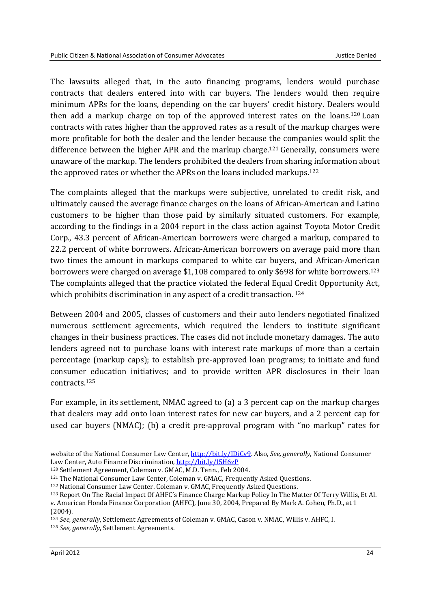The lawsuits alleged that, in the auto financing programs, lenders would purchase contracts that dealers entered into with car buyers. The lenders would then require minimum APRs for the loans, depending on the car buyers' credit history. Dealers would then add a markup charge on top of the approved interest rates on the loans.<sup>120</sup> Loan contracts with rates higher than the approved rates as a result of the markup charges were more profitable for both the dealer and the lender because the companies would split the difference between the higher APR and the markup charge.121 Generally, consumers were unaware of the markup. The lenders prohibited the dealers from sharing information about the approved rates or whether the APRs on the loans included markups.<sup>122</sup>

The complaints alleged that the markups were subjective, unrelated to credit risk, and ultimately caused the average finance charges on the loans of African-American and Latino customers to be higher than those paid by similarly situated customers. For example, according to the findings in a 2004 report in the class action against Toyota Motor Credit Corp., 43.3 percent of African-American borrowers were charged a markup, compared to 22.2 percent of white borrowers. African-American borrowers on average paid more than two times the amount in markups compared to white car buyers, and African-American borrowers were charged on average \$1,108 compared to only \$698 for white borrowers.<sup>123</sup> The complaints alleged that the practice violated the federal Equal Credit Opportunity Act, which prohibits discrimination in any aspect of a credit transaction.<sup>124</sup>

Between 2004 and 2005, classes of customers and their auto lenders negotiated finalized numerous settlement agreements, which required the lenders to institute significant changes in their business practices. The cases did not include monetary damages. The auto lenders agreed not to purchase loans with interest rate markups of more than a certain percentage (markup caps); to establish pre-approved loan programs; to initiate and fund consumer education initiatives; and to provide written APR disclosures in their loan contracts.<sup>125</sup>

For example, in its settlement, NMAC agreed to (a) a 3 percent cap on the markup charges that dealers may add onto loan interest rates for new car buyers, and a 2 percent cap for used car buyers (NMAC); (b) a credit pre-approval program with "no markup" rates for

**.** 

website of the National Consumer Law Center, http://bit.ly/IDiCv9. Also, *See, generally*, National Consumer Law Center, Auto Finance Discrimination, http://bit.ly/I5H6zP

<sup>120</sup> Settlement Agreement, Coleman v. GMAC, M.D. Tenn., Feb 2004.

<sup>121</sup> The National Consumer Law Center, Coleman v. GMAC, Frequently Asked Questions.

<sup>122</sup> National Consumer Law Center. Coleman v. GMAC, Frequently Asked Questions.

<sup>123</sup> Report On The Racial Impact Of AHFC's Finance Charge Markup Policy In The Matter Of Terry Willis, Et Al. v. American Honda Finance Corporation (AHFC), June 30, 2004, Prepared By Mark A. Cohen, Ph.D., at 1 (2004).

<sup>124</sup> *See, generally*, Settlement Agreements of Coleman v. GMAC, Cason v. NMAC, Willis v. AHFC, I.

<sup>125</sup> *See, generally*, Settlement Agreements.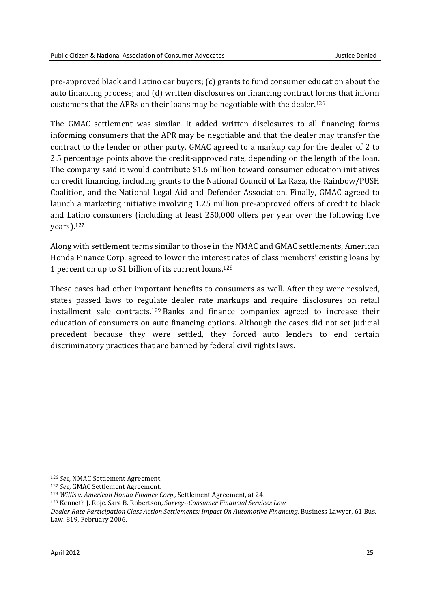pre-approved black and Latino car buyers; (c) grants to fund consumer education about the auto financing process; and (d) written disclosures on financing contract forms that inform customers that the APRs on their loans may be negotiable with the dealer.<sup>126</sup>

The GMAC settlement was similar. It added written disclosures to all financing forms informing consumers that the APR may be negotiable and that the dealer may transfer the contract to the lender or other party. GMAC agreed to a markup cap for the dealer of 2 to 2.5 percentage points above the credit-approved rate, depending on the length of the loan. The company said it would contribute \$1.6 million toward consumer education initiatives on credit financing, including grants to the National Council of La Raza, the Rainbow/PUSH Coalition, and the National Legal Aid and Defender Association. Finally, GMAC agreed to launch a marketing initiative involving 1.25 million pre-approved offers of credit to black and Latino consumers (including at least 250,000 offers per year over the following five years).<sup>127</sup>

Along with settlement terms similar to those in the NMAC and GMAC settlements, American Honda Finance Corp. agreed to lower the interest rates of class members' existing loans by 1 percent on up to \$1 billion of its current loans.<sup>128</sup>

These cases had other important benefits to consumers as well. After they were resolved, states passed laws to regulate dealer rate markups and require disclosures on retail installment sale contracts.<sup>129</sup> Banks and finance companies agreed to increase their education of consumers on auto financing options. Although the cases did not set judicial precedent because they were settled, they forced auto lenders to end certain discriminatory practices that are banned by federal civil rights laws.

<sup>126</sup> *See,* NMAC Settlement Agreement.

<sup>127</sup> *See*, GMAC Settlement Agreement.

<sup>128</sup> *Willis v. American Honda Finance Corp*., Settlement Agreement, at 24.

<sup>129</sup> Kenneth J. Rojc, Sara B. Robertson, *Survey--Consumer Financial Services Law* 

*Dealer Rate Participation Class Action Settlements: Impact On Automotive Financing*, Business Lawyer, 61 Bus. Law. 819, February 2006.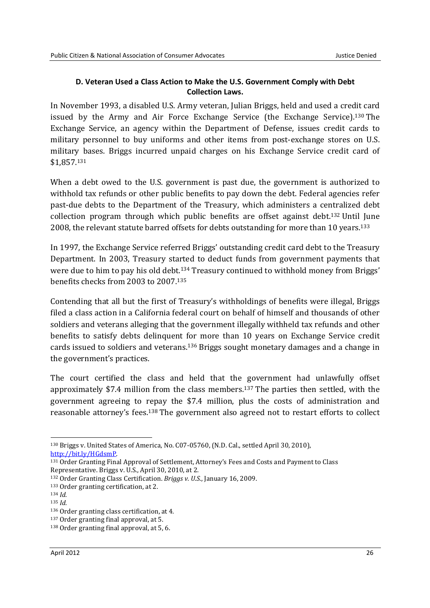### **D. Veteran Used a Class Action to Make the U.S. Government Comply with Debt Collection Laws.**

In November 1993, a disabled U.S. Army veteran, Julian Briggs, held and used a credit card issued by the Army and Air Force Exchange Service (the Exchange Service).130 The Exchange Service, an agency within the Department of Defense, issues credit cards to military personnel to buy uniforms and other items from post-exchange stores on U.S. military bases. Briggs incurred unpaid charges on his Exchange Service credit card of \$1,857.<sup>131</sup>

When a debt owed to the U.S. government is past due, the government is authorized to withhold tax refunds or other public benefits to pay down the debt. Federal agencies refer past-due debts to the Department of the Treasury, which administers a centralized debt collection program through which public benefits are offset against debt.132 Until June 2008, the relevant statute barred offsets for debts outstanding for more than 10 years.<sup>133</sup>

In 1997, the Exchange Service referred Briggs' outstanding credit card debt to the Treasury Department. In 2003, Treasury started to deduct funds from government payments that were due to him to pay his old debt.<sup>134</sup> Treasury continued to withhold money from Briggs' benefits checks from 2003 to 2007.<sup>135</sup>

Contending that all but the first of Treasury's withholdings of benefits were illegal, Briggs filed a class action in a California federal court on behalf of himself and thousands of other soldiers and veterans alleging that the government illegally withheld tax refunds and other benefits to satisfy debts delinquent for more than 10 years on Exchange Service credit cards issued to soldiers and veterans.<sup>136</sup> Briggs sought monetary damages and a change in the government's practices.

The court certified the class and held that the government had unlawfully offset approximately \$7.4 million from the class members.137 The parties then settled, with the government agreeing to repay the \$7.4 million, plus the costs of administration and reasonable attorney's fees.138 The government also agreed not to restart efforts to collect

<sup>-</sup><sup>130</sup> Briggs v. United States of America, No. C07-05760, (N.D. Cal., settled April 30, 2010), http://bit.ly/HGdsmP.

<sup>131</sup> Order Granting Final Approval of Settlement, Attorney's Fees and Costs and Payment to Class Representative. Briggs v. U.S., April 30, 2010, at 2.

<sup>132</sup> Order Granting Class Certification. *Briggs v. U.S*., January 16, 2009.

<sup>133</sup> Order granting certification, at 2.

<sup>134</sup> *Id.*

<sup>135</sup> *Id.*

<sup>136</sup> Order granting class certification, at 4.

<sup>137</sup> Order granting final approval, at 5.

<sup>138</sup> Order granting final approval, at 5, 6.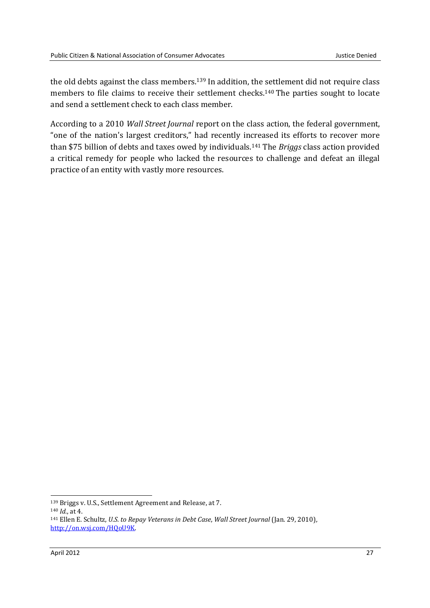the old debts against the class members.<sup>139</sup> In addition, the settlement did not require class members to file claims to receive their settlement checks.140 The parties sought to locate and send a settlement check to each class member.

According to a 2010 *Wall Street Journal* report on the class action, the federal government, "one of the nation's largest creditors," had recently increased its efforts to recover more than \$75 billion of debts and taxes owed by individuals.141 The *Briggs* class action provided a critical remedy for people who lacked the resources to challenge and defeat an illegal practice of an entity with vastly more resources.

<sup>140</sup> *Id.*, at 4.

<sup>139</sup> Briggs v. U.S., Settlement Agreement and Release, at 7.

<sup>141</sup> Ellen E. Schultz, *U.S. to Repay Veterans in Debt Case*, *Wall Street Journal* (Jan. 29, 2010), http://on.wsj.com/HQoU9K.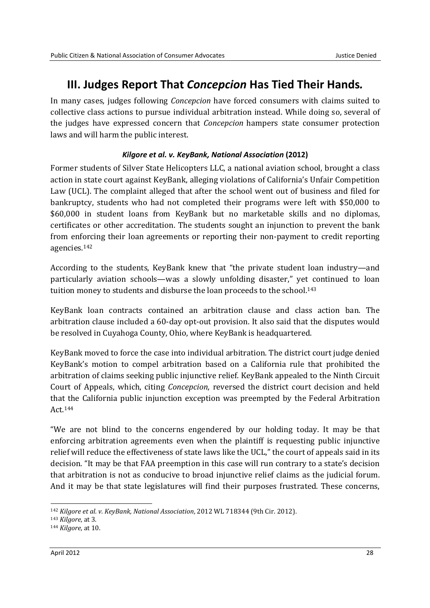### **III. Judges Report That** *Concepcion* **Has Tied Their Hands***.*

In many cases, judges following *Concepcion* have forced consumers with claims suited to collective class actions to pursue individual arbitration instead. While doing so, several of the judges have expressed concern that *Concepcion* hampers state consumer protection laws and will harm the public interest.

### *Kilgore et al. v. KeyBank, National Association* **(2012)**

Former students of Silver State Helicopters LLC, a national aviation school, brought a class action in state court against KeyBank, alleging violations of California's Unfair Competition Law (UCL). The complaint alleged that after the school went out of business and filed for bankruptcy, students who had not completed their programs were left with \$50,000 to \$60,000 in student loans from KeyBank but no marketable skills and no diplomas, certificates or other accreditation. The students sought an injunction to prevent the bank from enforcing their loan agreements or reporting their non-payment to credit reporting agencies.<sup>142</sup>

According to the students, KeyBank knew that "the private student loan industry—and particularly aviation schools—was a slowly unfolding disaster," yet continued to loan tuition money to students and disburse the loan proceeds to the school.<sup>143</sup>

KeyBank loan contracts contained an arbitration clause and class action ban. The arbitration clause included a 60-day opt-out provision. It also said that the disputes would be resolved in Cuyahoga County, Ohio, where KeyBank is headquartered.

KeyBank moved to force the case into individual arbitration. The district court judge denied KeyBank's motion to compel arbitration based on a California rule that prohibited the arbitration of claims seeking public injunctive relief. KeyBank appealed to the Ninth Circuit Court of Appeals, which, citing *Concepcion*, reversed the district court decision and held that the California public injunction exception was preempted by the Federal Arbitration Act.<sup>144</sup>

"We are not blind to the concerns engendered by our holding today. It may be that enforcing arbitration agreements even when the plaintiff is requesting public injunctive relief will reduce the effectiveness of state laws like the UCL," the court of appeals said in its decision. "It may be that FAA preemption in this case will run contrary to a state's decision that arbitration is not as conducive to broad injunctive relief claims as the judicial forum. And it may be that state legislatures will find their purposes frustrated. These concerns,

<sup>142</sup> *Kilgore et al. v. KeyBank, National Association*, 2012 WL 718344 (9th Cir. 2012).

<sup>143</sup> *Kilgore*, at 3.

<sup>144</sup> *Kilgore*, at 10.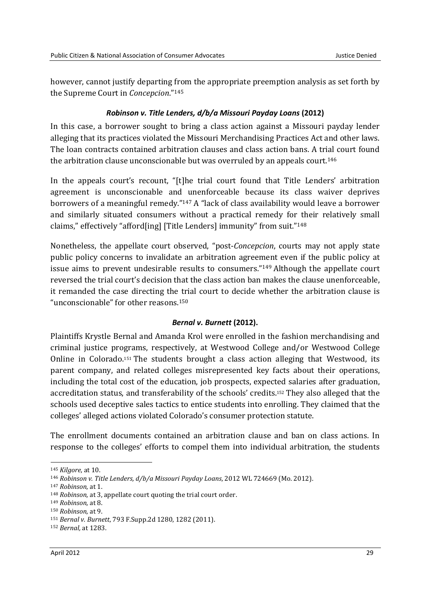however, cannot justify departing from the appropriate preemption analysis as set forth by the Supreme Court in *Concepcion*."<sup>145</sup>

#### *Robinson v. Title Lenders, d/b/a Missouri Payday Loans* **(2012)**

In this case, a borrower sought to bring a class action against a Missouri payday lender alleging that its practices violated the Missouri Merchandising Practices Act and other laws. The loan contracts contained arbitration clauses and class action bans. A trial court found the arbitration clause unconscionable but was overruled by an appeals court.<sup>146</sup>

In the appeals court's recount, "[t]he trial court found that Title Lenders' arbitration agreement is unconscionable and unenforceable because its class waiver deprives borrowers of a meaningful remedy."147 A "lack of class availability would leave a borrower and similarly situated consumers without a practical remedy for their relatively small claims," effectively "afford[ing] [Title Lenders] immunity" from suit."<sup>148</sup>

Nonetheless, the appellate court observed, "post-*Concepcion*, courts may not apply state public policy concerns to invalidate an arbitration agreement even if the public policy at issue aims to prevent undesirable results to consumers."149 Although the appellate court reversed the trial court's decision that the class action ban makes the clause unenforceable, it remanded the case directing the trial court to decide whether the arbitration clause is "unconscionable" for other reasons.<sup>150</sup>

#### *Bernal v. Burnett* **(2012).**

Plaintiffs Krystle Bernal and Amanda Krol were enrolled in the fashion merchandising and criminal justice programs, respectively, at Westwood College and/or Westwood College Online in Colorado.151 The students brought a class action alleging that Westwood, its parent company, and related colleges misrepresented key facts about their operations, including the total cost of the education, job prospects, expected salaries after graduation, accreditation status, and transferability of the schools' credits.152 They also alleged that the schools used deceptive sales tactics to entice students into enrolling. They claimed that the colleges' alleged actions violated Colorado's consumer protection statute.

The enrollment documents contained an arbitration clause and ban on class actions. In response to the colleges' efforts to compel them into individual arbitration, the students

<sup>145</sup> *Kilgore*, at 10.

<sup>146</sup> *Robinson v. Title Lenders, d/b/a Missouri Payday Loans*, 2012 WL 724669 (Mo. 2012).

<sup>147</sup> *Robinson*, at 1.

<sup>148</sup> *Robinson*, at 3, appellate court quoting the trial court order.

<sup>149</sup> *Robinson*, at 8.

<sup>150</sup> *Robinson*, at 9.

<sup>151</sup> *Bernal v. Burnett*, 793 F.Supp.2d 1280, 1282 (2011).

<sup>152</sup> *Bernal,* at 1283.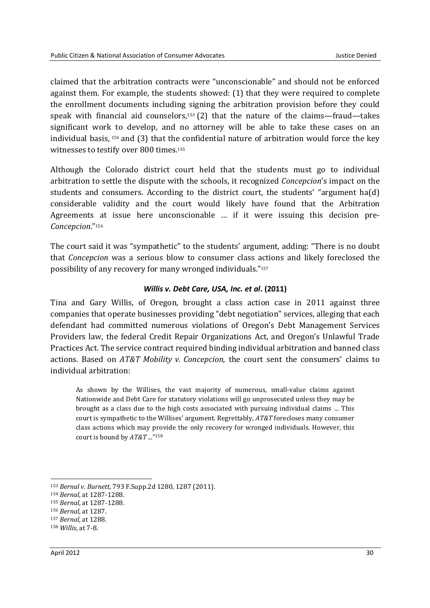claimed that the arbitration contracts were "unconscionable" and should not be enforced against them. For example, the students showed: (1) that they were required to complete the enrollment documents including signing the arbitration provision before they could speak with financial aid counselors, $153$  (2) that the nature of the claims—fraud—takes significant work to develop, and no attorney will be able to take these cases on an individual basis, 154 and (3) that the confidential nature of arbitration would force the key witnesses to testify over 800 times.<sup>155</sup>

Although the Colorado district court held that the students must go to individual arbitration to settle the dispute with the schools, it recognized *Concepcion*'s impact on the students and consumers. According to the district court, the students' "argument ha(d) considerable validity and the court would likely have found that the Arbitration Agreements at issue here unconscionable … if it were issuing this decision pre-*Concepcion*."<sup>156</sup>

The court said it was "sympathetic" to the students' argument, adding: "There is no doubt that *Concepcion* was a serious blow to consumer class actions and likely foreclosed the possibility of any recovery for many wronged individuals."<sup>157</sup>

#### *Willis v. Debt Care, USA, Inc. et al***. (2011)**

Tina and Gary Willis, of Oregon, brought a class action case in 2011 against three companies that operate businesses providing "debt negotiation" services, alleging that each defendant had committed numerous violations of Oregon's Debt Management Services Providers law, the federal Credit Repair Organizations Act, and Oregon's Unlawful Trade Practices Act. The service contract required binding individual arbitration and banned class actions. Based on *AT&T Mobility v. Concepcion*, the court sent the consumers' claims to individual arbitration:

As shown by the Willises, the vast majority of numerous, small-value claims against Nationwide and Debt Care for statutory violations will go unprosecuted unless they may be brought as a class due to the high costs associated with pursuing individual claims … This court is sympathetic to the Willises' argument. Regrettably, *AT&T* forecloses many consumer class actions which may provide the only recovery for wronged individuals. However, this court is bound by *AT&T* ..."<sup>158</sup>

<sup>153</sup> *Bernal v. Burnett*, 793 F.Supp.2d 1280, 1287 (2011).

<sup>154</sup> *Bernal*, at 1287-1288.

<sup>155</sup> *Bernal*, at 1287-1288.

<sup>156</sup> *Bernal,* at 1287.

<sup>157</sup> *Bernal*, at 1288.

<sup>158</sup> *Willis*, at 7-8.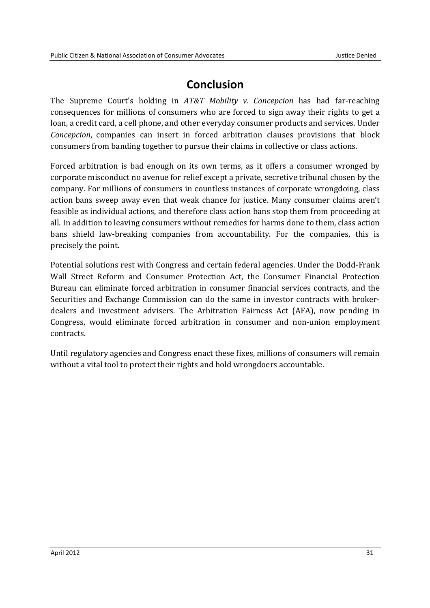### **Conclusion**

The Supreme Court's holding in *AT&T Mobility v. Concepcion* has had far-reaching consequences for millions of consumers who are forced to sign away their rights to get a loan, a credit card, a cell phone, and other everyday consumer products and services. Under *Concepcion*, companies can insert in forced arbitration clauses provisions that block consumers from banding together to pursue their claims in collective or class actions.

Forced arbitration is bad enough on its own terms, as it offers a consumer wronged by corporate misconduct no avenue for relief except a private, secretive tribunal chosen by the company. For millions of consumers in countless instances of corporate wrongdoing, class action bans sweep away even that weak chance for justice. Many consumer claims aren't feasible as individual actions, and therefore class action bans stop them from proceeding at all. In addition to leaving consumers without remedies for harms done to them, class action bans shield law-breaking companies from accountability. For the companies, this is precisely the point.

Potential solutions rest with Congress and certain federal agencies. Under the Dodd-Frank Wall Street Reform and Consumer Protection Act, the Consumer Financial Protection Bureau can eliminate forced arbitration in consumer financial services contracts, and the Securities and Exchange Commission can do the same in investor contracts with brokerdealers and investment advisers. The Arbitration Fairness Act (AFA), now pending in Congress, would eliminate forced arbitration in consumer and non-union employment contracts.

Until regulatory agencies and Congress enact these fixes, millions of consumers will remain without a vital tool to protect their rights and hold wrongdoers accountable.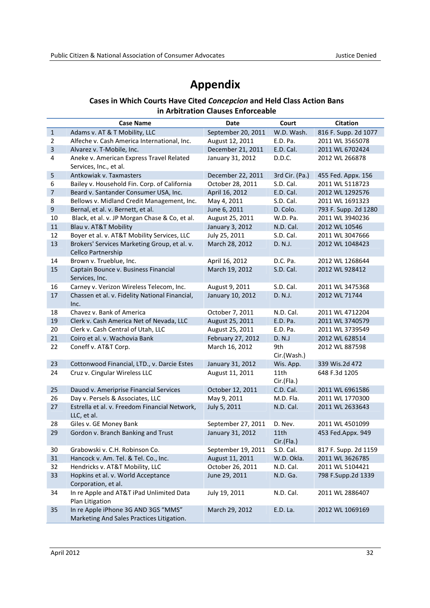### **Appendix**

### **Cases in Which Courts Have Cited** *Concepcion* **and Held Class Action Bans in Arbitration Clauses Enforceable**

|                | <b>Case Name</b>                                                                 | <b>Date</b>        | Court                          | <b>Citation</b>      |
|----------------|----------------------------------------------------------------------------------|--------------------|--------------------------------|----------------------|
| $\mathbf 1$    | Adams v. AT & T Mobility, LLC                                                    | September 20, 2011 | W.D. Wash.                     | 816 F. Supp. 2d 1077 |
| $\overline{2}$ | Alfeche v. Cash America International, Inc.                                      | August 12, 2011    | E.D. Pa.                       | 2011 WL 3565078      |
| $\overline{3}$ | Alvarez v. T-Mobile, Inc.                                                        | December 21, 2011  | E.D. Cal.                      | 2011 WL 6702424      |
| $\sqrt{4}$     | Aneke v. American Express Travel Related<br>Services, Inc., et al.               | January 31, 2012   | D.D.C.                         | 2012 WL 266878       |
| 5              | Antkowiak v. Taxmasters                                                          | December 22, 2011  | 3rd Cir. (Pa.)                 | 455 Fed. Appx. 156   |
| 6              | Bailey v. Household Fin. Corp. of California                                     | October 28, 2011   | S.D. Cal.                      | 2011 WL 5118723      |
| $\overline{7}$ | Beard v. Santander Consumer USA, Inc.                                            | April 16, 2012     | E.D. Cal.                      | 2012 WL 1292576      |
| 8              | Bellows v. Midland Credit Management, Inc.                                       | May 4, 2011        | S.D. Cal.                      | 2011 WL 1691323      |
| 9              | Bernal, et al. v. Bernett, et al.                                                | June 6, 2011       | D. Colo.                       | 793 F. Supp. 2d 1280 |
| 10             | Black, et al. v. JP Morgan Chase & Co, et al.                                    | August 25, 2011    | W.D. Pa.                       | 2011 WL 3940236      |
| $11\,$         | Blau v. AT&T Mobility                                                            | January 3, 2012    | N.D. Cal.                      | 2012 WL 10546        |
| 12             | Boyer et al. v. AT&T Mobility Services, LLC                                      | July 25, 2011      | S.D. Cal.                      | 2011 WL 3047666      |
| 13             | Brokers' Services Marketing Group, et al. v.<br><b>Cellco Partnership</b>        | March 28, 2012     | D. N.J.                        | 2012 WL 1048423      |
| 14             | Brown v. Trueblue, Inc.                                                          | April 16, 2012     | D.C. Pa.                       | 2012 WL 1268644      |
| $15\,$         | Captain Bounce v. Business Financial<br>Services, Inc.                           | March 19, 2012     | S.D. Cal.                      | 2012 WL 928412       |
| 16             | Carney v. Verizon Wireless Telecom, Inc.                                         | August 9, 2011     | S.D. Cal.                      | 2011 WL 3475368      |
| 17             | Chassen et al. v. Fidelity National Financial,<br>Inc.                           | January 10, 2012   | D. N.J.                        | 2012 WL 71744        |
| 18             | Chavez v. Bank of America                                                        | October 7, 2011    | N.D. Cal.                      | 2011 WL 4712204      |
| 19             | Clerk v. Cash America Net of Nevada, LLC                                         | August 25, 2011    | E.D. Pa.                       | 2011 WL 3740579      |
| 20             | Clerk v. Cash Central of Utah, LLC                                               | August 25, 2011    | E.D. Pa.                       | 2011 WL 3739549      |
| 21             | Coiro et al. v. Wachovia Bank                                                    | February 27, 2012  | D. N.J                         | 2012 WL 628514       |
| 22             | Coneff v. AT&T Corp.                                                             | March 16, 2012     | 9th<br>Cir.(Wash.)             | 2012 WL 887598       |
| 23             | Cottonwood Financial, LTD., v. Darcie Estes                                      | January 31, 2012   | Wis. App.                      | 339 Wis.2d 472       |
| 24             | Cruz v. Cingular Wireless LLC                                                    | August 11, 2011    | 11th<br>Cir.(Fla.)             | 648 F.3d 1205        |
| 25             | Dauod v. Ameriprise Financial Services                                           | October 12, 2011   | C.D. Cal.                      | 2011 WL 6961586      |
| 26             | Day v. Persels & Associates, LLC                                                 | May 9, 2011        | M.D. Fla.                      | 2011 WL 1770300      |
| 27             | Estrella et al. v. Freedom Financial Network,<br>LLC, et al.                     | July 5, 2011       | N.D. Cal.                      | 2011 WL 2633643      |
| 28             | Giles v. GE Money Bank                                                           | September 27, 2011 | D. Nev.                        | 2011 WL 4501099      |
| 29             | Gordon v. Branch Banking and Trust                                               | January 31, 2012   | 11 <sub>th</sub><br>Cir.(Fla.) | 453 Fed.Appx. 949    |
| 30             | Grabowski v. C.H. Robinson Co.                                                   | September 19, 2011 | S.D. Cal.                      | 817 F. Supp. 2d 1159 |
| 31             | Hancock v. Am. Tel. & Tel. Co., Inc.                                             | August 11, 2011    | W.D. Okla.                     | 2011 WL 3626785      |
| 32             | Hendricks v. AT&T Mobility, LLC                                                  | October 26, 2011   | N.D. Cal.                      | 2011 WL 5104421      |
| 33             | Hopkins et al. v. World Acceptance<br>Corporation, et al.                        | June 29, 2011      | N.D. Ga.                       | 798 F.Supp.2d 1339   |
| 34             | In re Apple and AT&T iPad Unlimited Data<br>Plan Litigation                      | July 19, 2011      | N.D. Cal.                      | 2011 WL 2886407      |
| 35             | In re Apple iPhone 3G AND 3GS "MMS"<br>Marketing And Sales Practices Litigation. | March 29, 2012     | E.D. La.                       | 2012 WL 1069169      |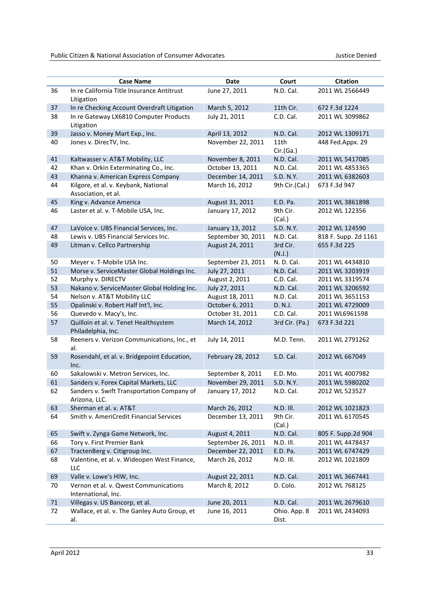|        | <b>Case Name</b>                                             | Date               | Court                 | <b>Citation</b>      |
|--------|--------------------------------------------------------------|--------------------|-----------------------|----------------------|
| 36     | In re California Title Insurance Antitrust<br>Litigation     | June 27, 2011      | N.D. Cal.             | 2011 WL 2566449      |
| 37     | In re Checking Account Overdraft Litigation                  | March 5, 2012      | 11th Cir.             | 672 F.3d 1224        |
| 38     | In re Gateway LX6810 Computer Products<br>Litigation         | July 21, 2011      | C.D. Cal.             | 2011 WL 3099862      |
| 39     | Jasso v. Money Mart Exp., Inc.                               | April 13, 2012     | N.D. Cal.             | 2012 WL 1309171      |
| 40     | Jones v. DirecTV, Inc.                                       | November 22, 2011  | 11th<br>Cir.(Ga.)     | 448 Fed.Appx. 29     |
| 41     | Kaltwasser v. AT&T Mobility, LLC                             | November 8, 2011   | N.D. Cal.             | 2011 WL 5417085      |
| 42     | Khan v. Orkin Exterminating Co., Inc.                        | October 13, 2011   | N.D. Cal.             | 2011 WL 4853365      |
| 43     | Khanna v. American Express Company                           | December 14, 2011  | S.D. N.Y.             | 2011 WL 6382603      |
| 44     | Kilgore, et al. v. Keybank, National<br>Association, et al.  | March 16, 2012     | 9th Cir.(Cal.)        | 673 F.3d 947         |
| 45     | King v. Advance America                                      | August 31, 2011    | E.D. Pa.              | 2011 WL 3861898      |
| 46     | Laster et al. v. T-Mobile USA, Inc.                          | January 17, 2012   | 9th Cir.<br>(Cal.)    | 2012 WL 122356       |
| 47     | LaVoice v. UBS Financial Services, Inc.                      | January 13, 2012   | S.D. N.Y.             | 2012 WL 124590       |
| 48     | Lewis v. UBS Financial Services Inc.                         | September 30, 2011 | N.D. Cal.             | 818 F. Supp. 2d 1161 |
| 49     | Litman v. Cellco Partnership                                 | August 24, 2011    | 3rd Cir.<br>(N.J.)    | 655 F.3d 225         |
| 50     | Meyer v. T-Mobile USA Inc.                                   | September 23, 2011 | N.D.Cal.              | 2011 WL 4434810      |
| 51     | Morse v. ServiceMaster Global Holdings Inc.                  | July 27, 2011      | N.D. Cal.             | 2011 WL 3203919      |
| 52     | Murphy v. DIRECTV                                            | August 2, 2011     | C.D. Cal.             | 2011 WL 3319574      |
| 53     | Nakano v. ServiceMaster Global Holding Inc.                  | July 27, 2011      | N.D. Cal.             | 2011 WL 3206592      |
| 54     | Nelson v. AT&T Mobility LLC                                  | August 18, 2011    | N.D. Cal.             | 2011 WL 3651153      |
| 55     | Opalinski v. Robert Half Int'l, Inc.                         | October 6, 2011    | D. N.J.               | 2011 WL 4729009      |
| 56     | Quevedo v. Macy's, Inc.                                      | October 31, 2011   | C.D. Cal.             | 2011 WL6961598       |
| 57     | Quilloin et al. v. Tenet Healthsystem<br>Philadelphia, Inc.  | March 14, 2012     | 3rd Cir. (Pa.)        | 673 F.3d 221         |
| 58     | Reeners v. Verizon Communications, Inc., et<br>al.           | July 14, 2011      | M.D. Tenn.            | 2011 WL 2791262      |
| 59     | Rosendahl, et al. v. Bridgepoint Education,<br>Inc.          | February 28, 2012  | S.D. Cal.             | 2012 WL 667049       |
| 60     | Sakalowski v. Metron Services, Inc.                          | September 8, 2011  | E.D. Mo.              | 2011 WL 4007982      |
| 61     | Sanders v. Forex Capital Markets, LLC                        | November 29, 2011  | S.D. N.Y.             | 2011 WL 5980202      |
| 62     | Sanders v. Swift Transportation Company of<br>Arizona, LLC.  | January 17, 2012   | N.D. Cal.             | 2012 WL 523527       |
| 63     | Sherman et al. v. AT&T                                       | March 26, 2012     | N.D. III.             | 2012 WL 1021823      |
| 64     | Smith v. AmeriCredit Financial Services                      | December 13, 2011  | 9th Cir.<br>(Cal.)    | 2011 WL 6170545      |
| 65     | Swift v. Zynga Game Network, Inc.                            | August 4, 2011     | N.D. Cal.             | 805 F. Supp.2d 904   |
| 66     | Tory v. First Premier Bank                                   | September 26, 2011 | N.D. III.             | 2011 WL 4478437      |
| 67     | TractenBerg v. Citigroup Inc.                                | December 22, 2011  | E.D. Pa.              | 2011 WL 6747429      |
| 68     | Valentine, et al. v. Wideopen West Finance,<br>LLC           | March 26, 2012     | N.D. III.             | 2012 WL 1021809      |
| 69     | Valle v. Lowe's HIW, Inc.                                    | August 22, 2011    | N.D. Cal.             | 2011 WL 3667441      |
| 70     | Vernon et al. v. Qwest Communications<br>International, Inc. | March 8, 2012      | D. Colo.              | 2012 WL 768125       |
| $71\,$ | Villegas v. US Bancorp, et al.                               | June 20, 2011      | N.D. Cal.             | 2011 WL 2679610      |
| 72     | Wallace, et al. v. The Ganley Auto Group, et<br>al.          | June 16, 2011      | Ohio. App. 8<br>Dist. | 2011 WL 2434093      |